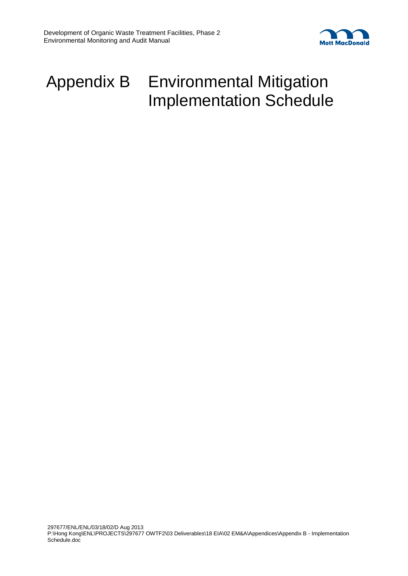

# Appendix B Environmental Mitigation Implementation Schedule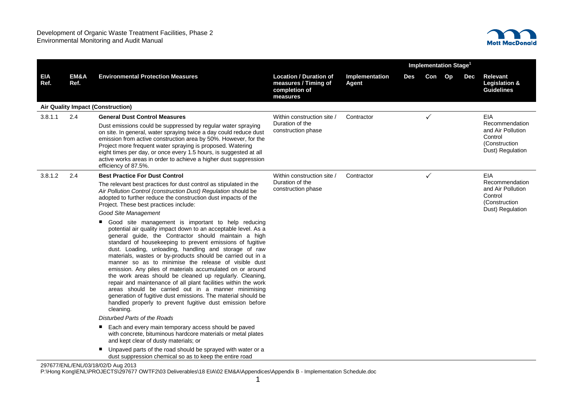

|                    |              |                                                                                                                                                                                                                                                                                                                                                                                                                                                                                                                                                                                                                                                                                                                                                                                                                                                       |                                                                                    | Implementation Stage <sup>1</sup> |     |     |    |     |                                                                                            |
|--------------------|--------------|-------------------------------------------------------------------------------------------------------------------------------------------------------------------------------------------------------------------------------------------------------------------------------------------------------------------------------------------------------------------------------------------------------------------------------------------------------------------------------------------------------------------------------------------------------------------------------------------------------------------------------------------------------------------------------------------------------------------------------------------------------------------------------------------------------------------------------------------------------|------------------------------------------------------------------------------------|-----------------------------------|-----|-----|----|-----|--------------------------------------------------------------------------------------------|
| <b>EIA</b><br>Ref. | EM&A<br>Ref. | <b>Environmental Protection Measures</b>                                                                                                                                                                                                                                                                                                                                                                                                                                                                                                                                                                                                                                                                                                                                                                                                              | <b>Location / Duration of</b><br>measures / Timing of<br>completion of<br>measures | Implementation<br><b>Agent</b>    | Des | Con | Op | Dec | <b>Relevant</b><br>Legislation &<br><b>Guidelines</b>                                      |
|                    |              | <b>Air Quality Impact (Construction)</b>                                                                                                                                                                                                                                                                                                                                                                                                                                                                                                                                                                                                                                                                                                                                                                                                              |                                                                                    |                                   |     |     |    |     |                                                                                            |
| 3.8.1.1            | 2.4          | <b>General Dust Control Measures</b><br>Dust emissions could be suppressed by regular water spraying<br>on site. In general, water spraying twice a day could reduce dust<br>emission from active construction area by 50%. However, for the<br>Project more frequent water spraying is proposed. Watering<br>eight times per day, or once every 1.5 hours, is suggested at all<br>active works areas in order to achieve a higher dust suppression<br>efficiency of 87.5%.                                                                                                                                                                                                                                                                                                                                                                           | Within construction site /<br>Duration of the<br>construction phase                | Contractor                        |     | ✓   |    |     | EIA<br>Recommendation<br>and Air Pollution<br>Control<br>(Construction<br>Dust) Regulation |
| 3.8.1.2            | 2.4          | <b>Best Practice For Dust Control</b>                                                                                                                                                                                                                                                                                                                                                                                                                                                                                                                                                                                                                                                                                                                                                                                                                 | Within construction site /                                                         | Contractor                        |     | ✓   |    |     | <b>EIA</b>                                                                                 |
|                    |              | The relevant best practices for dust control as stipulated in the<br>Air Pollution Control (construction Dust) Regulation should be<br>adopted to further reduce the construction dust impacts of the<br>Project. These best practices include:                                                                                                                                                                                                                                                                                                                                                                                                                                                                                                                                                                                                       | Duration of the<br>construction phase                                              |                                   |     |     |    |     | Recommendation<br>and Air Pollution<br>Control<br>(Construction                            |
|                    |              | Good Site Management                                                                                                                                                                                                                                                                                                                                                                                                                                                                                                                                                                                                                                                                                                                                                                                                                                  |                                                                                    |                                   |     |     |    |     | Dust) Regulation                                                                           |
|                    |              | Good site management is important to help reducing<br>potential air quality impact down to an acceptable level. As a<br>general guide, the Contractor should maintain a high<br>standard of housekeeping to prevent emissions of fugitive<br>dust. Loading, unloading, handling and storage of raw<br>materials, wastes or by-products should be carried out in a<br>manner so as to minimise the release of visible dust<br>emission. Any piles of materials accumulated on or around<br>the work areas should be cleaned up regularly. Cleaning,<br>repair and maintenance of all plant facilities within the work<br>areas should be carried out in a manner minimising<br>generation of fugitive dust emissions. The material should be<br>handled properly to prevent fugitive dust emission before<br>cleaning.<br>Disturbed Parts of the Roads |                                                                                    |                                   |     |     |    |     |                                                                                            |
|                    |              |                                                                                                                                                                                                                                                                                                                                                                                                                                                                                                                                                                                                                                                                                                                                                                                                                                                       |                                                                                    |                                   |     |     |    |     |                                                                                            |
|                    |              | Each and every main temporary access should be paved<br>with concrete, bituminous hardcore materials or metal plates<br>and kept clear of dusty materials; or                                                                                                                                                                                                                                                                                                                                                                                                                                                                                                                                                                                                                                                                                         |                                                                                    |                                   |     |     |    |     |                                                                                            |
|                    |              | Unpaved parts of the road should be sprayed with water or a<br>٠<br>dust suppression chemical so as to keep the entire road                                                                                                                                                                                                                                                                                                                                                                                                                                                                                                                                                                                                                                                                                                                           |                                                                                    |                                   |     |     |    |     |                                                                                            |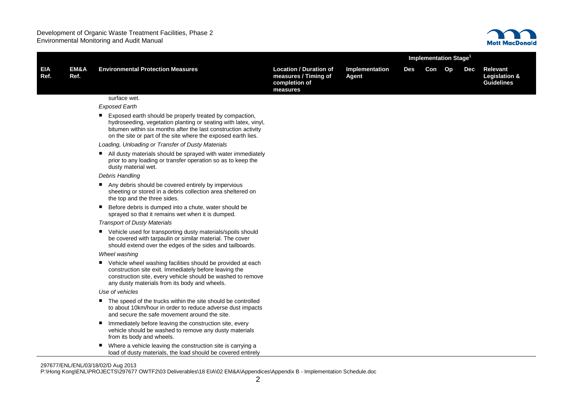

|                    |                         |                                                                                                                                                                                                                                                               |                                                                                    |                         | <b>Implementation Stage<sup>1</sup></b> |        |  |     |                                                                  |  |
|--------------------|-------------------------|---------------------------------------------------------------------------------------------------------------------------------------------------------------------------------------------------------------------------------------------------------------|------------------------------------------------------------------------------------|-------------------------|-----------------------------------------|--------|--|-----|------------------------------------------------------------------|--|
| <b>EIA</b><br>Ref. | <b>EM&amp;A</b><br>Ref. | <b>Environmental Protection Measures</b>                                                                                                                                                                                                                      | <b>Location / Duration of</b><br>measures / Timing of<br>completion of<br>measures | Implementation<br>Agent | Des                                     | Con Op |  | Dec | <b>Relevant</b><br><b>Legislation &amp;</b><br><b>Guidelines</b> |  |
|                    |                         | surface wet.                                                                                                                                                                                                                                                  |                                                                                    |                         |                                         |        |  |     |                                                                  |  |
|                    |                         | <b>Exposed Earth</b>                                                                                                                                                                                                                                          |                                                                                    |                         |                                         |        |  |     |                                                                  |  |
|                    |                         | Exposed earth should be properly treated by compaction,<br>hydroseeding, vegetation planting or seating with latex, vinyl,<br>bitumen within six months after the last construction activity<br>on the site or part of the site where the exposed earth lies. |                                                                                    |                         |                                         |        |  |     |                                                                  |  |
|                    |                         | Loading, Unloading or Transfer of Dusty Materials                                                                                                                                                                                                             |                                                                                    |                         |                                         |        |  |     |                                                                  |  |
|                    |                         | All dusty materials should be sprayed with water immediately<br>prior to any loading or transfer operation so as to keep the<br>dusty material wet.                                                                                                           |                                                                                    |                         |                                         |        |  |     |                                                                  |  |
|                    |                         | <b>Debris Handling</b>                                                                                                                                                                                                                                        |                                                                                    |                         |                                         |        |  |     |                                                                  |  |
|                    |                         | Any debris should be covered entirely by impervious<br>sheeting or stored in a debris collection area sheltered on<br>the top and the three sides.                                                                                                            |                                                                                    |                         |                                         |        |  |     |                                                                  |  |
|                    |                         | Before debris is dumped into a chute, water should be<br>sprayed so that it remains wet when it is dumped.                                                                                                                                                    |                                                                                    |                         |                                         |        |  |     |                                                                  |  |
|                    |                         | <b>Transport of Dusty Materials</b>                                                                                                                                                                                                                           |                                                                                    |                         |                                         |        |  |     |                                                                  |  |
|                    |                         | Vehicle used for transporting dusty materials/spoils should<br>be covered with tarpaulin or similar material. The cover<br>should extend over the edges of the sides and tailboards.                                                                          |                                                                                    |                         |                                         |        |  |     |                                                                  |  |
|                    |                         | Wheel washing                                                                                                                                                                                                                                                 |                                                                                    |                         |                                         |        |  |     |                                                                  |  |
|                    |                         | ■ Vehicle wheel washing facilities should be provided at each<br>construction site exit. Immediately before leaving the<br>construction site, every vehicle should be washed to remove<br>any dusty materials from its body and wheels.                       |                                                                                    |                         |                                         |        |  |     |                                                                  |  |
|                    |                         | Use of vehicles                                                                                                                                                                                                                                               |                                                                                    |                         |                                         |        |  |     |                                                                  |  |
|                    |                         | The speed of the trucks within the site should be controlled<br>to about 10km/hour in order to reduce adverse dust impacts<br>and secure the safe movement around the site.                                                                                   |                                                                                    |                         |                                         |        |  |     |                                                                  |  |
|                    |                         | Immediately before leaving the construction site, every<br>٠<br>vehicle should be washed to remove any dusty materials<br>from its body and wheels.                                                                                                           |                                                                                    |                         |                                         |        |  |     |                                                                  |  |
|                    |                         | Where a vehicle leaving the construction site is carrying a<br>load of dusty materials, the load should be covered entirely                                                                                                                                   |                                                                                    |                         |                                         |        |  |     |                                                                  |  |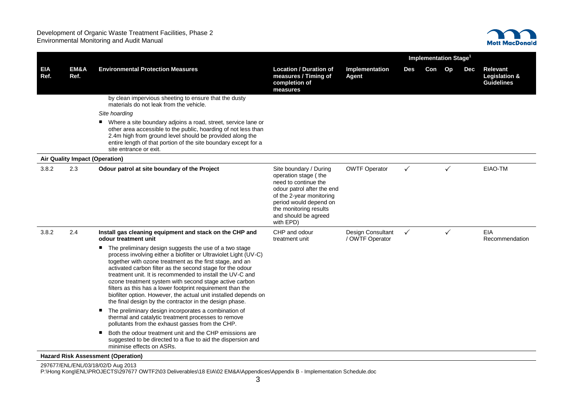

|             |              |                                                                                                                                                                                                                                                                                                                                                                                                                                                                                                                                                                                                                                                                                       |                                                                                                                                                                                                                           |                                             | Implementation Stage <sup>1</sup> |     |    |     |                                                                  |
|-------------|--------------|---------------------------------------------------------------------------------------------------------------------------------------------------------------------------------------------------------------------------------------------------------------------------------------------------------------------------------------------------------------------------------------------------------------------------------------------------------------------------------------------------------------------------------------------------------------------------------------------------------------------------------------------------------------------------------------|---------------------------------------------------------------------------------------------------------------------------------------------------------------------------------------------------------------------------|---------------------------------------------|-----------------------------------|-----|----|-----|------------------------------------------------------------------|
| EIA<br>Ref. | EM&A<br>Ref. | <b>Environmental Protection Measures</b>                                                                                                                                                                                                                                                                                                                                                                                                                                                                                                                                                                                                                                              | <b>Location / Duration of</b><br>measures / Timing of<br>completion of<br>measures                                                                                                                                        | Implementation<br>Agent                     | <b>Des</b>                        | Con | Op | Dec | <b>Relevant</b><br><b>Legislation &amp;</b><br><b>Guidelines</b> |
|             |              | by clean impervious sheeting to ensure that the dusty<br>materials do not leak from the vehicle.                                                                                                                                                                                                                                                                                                                                                                                                                                                                                                                                                                                      |                                                                                                                                                                                                                           |                                             |                                   |     |    |     |                                                                  |
|             |              | Site hoarding                                                                                                                                                                                                                                                                                                                                                                                                                                                                                                                                                                                                                                                                         |                                                                                                                                                                                                                           |                                             |                                   |     |    |     |                                                                  |
|             |              | ■ Where a site boundary adjoins a road, street, service lane or<br>other area accessible to the public, hoarding of not less than<br>2.4m high from ground level should be provided along the<br>entire length of that portion of the site boundary except for a<br>site entrance or exit.                                                                                                                                                                                                                                                                                                                                                                                            |                                                                                                                                                                                                                           |                                             |                                   |     |    |     |                                                                  |
|             |              | Air Quality Impact (Operation)                                                                                                                                                                                                                                                                                                                                                                                                                                                                                                                                                                                                                                                        |                                                                                                                                                                                                                           |                                             |                                   |     |    |     |                                                                  |
| 3.8.2       | 2.3          | Odour patrol at site boundary of the Project                                                                                                                                                                                                                                                                                                                                                                                                                                                                                                                                                                                                                                          | Site boundary / During<br>operation stage (the<br>need to continue the<br>odour patrol after the end<br>of the 2-year monitoring<br>period would depend on<br>the monitoring results<br>and should be agreed<br>with EPD) | <b>OWTF Operator</b>                        | $\checkmark$                      |     | ✓  |     | EIAO-TM                                                          |
| 3.8.2       | 2.4          | Install gas cleaning equipment and stack on the CHP and<br>odour treatment unit                                                                                                                                                                                                                                                                                                                                                                                                                                                                                                                                                                                                       | CHP and odour<br>treatment unit                                                                                                                                                                                           | <b>Design Consultant</b><br>/ OWTF Operator | $\checkmark$                      |     | ✓  |     | <b>EIA</b><br>Recommendation                                     |
|             |              | The preliminary design suggests the use of a two stage<br>process involving either a biofilter or Ultraviolet Light (UV-C)<br>together with ozone treatment as the first stage, and an<br>activated carbon filter as the second stage for the odour<br>treatment unit. It is recommended to install the UV-C and<br>ozone treatment system with second stage active carbon<br>filters as this has a lower footprint requirement than the<br>biofilter option. However, the actual unit installed depends on<br>the final design by the contractor in the design phase.<br>The preliminary design incorporates a combination of<br>thermal and catalytic treatment processes to remove |                                                                                                                                                                                                                           |                                             |                                   |     |    |     |                                                                  |
|             |              | pollutants from the exhaust gasses from the CHP.<br>Both the odour treatment unit and the CHP emissions are<br>suggested to be directed to a flue to aid the dispersion and<br>minimise effects on ASRs.<br>Hazard Rick Accocemont (Onoration)                                                                                                                                                                                                                                                                                                                                                                                                                                        |                                                                                                                                                                                                                           |                                             |                                   |     |    |     |                                                                  |

**Hazard Risk Assessment (Operation)**

297677/ENL/ENL/03/18/02/D Aug 2013 P:\Hong Kong\ENL\PROJECTS\297677 OWTF2\03 Deliverables\18 EIA\02 EM&A\Appendices\Appendix B - Implementation Schedule.doc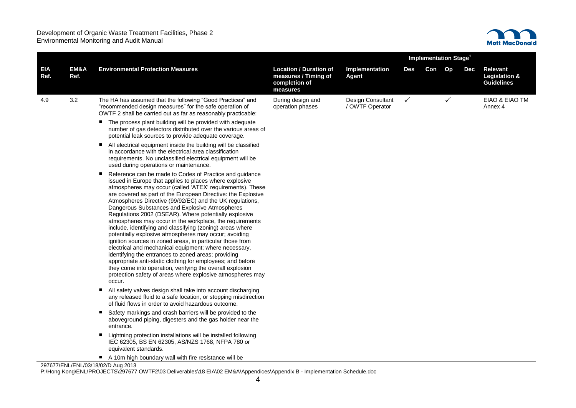

|                    |              |                                                                                                                                                                                                                                                                                                                                                                                                                                                                                                                                                                                                                                                                                                                                                                                                                                                                                                                                                                                          |                                                                                    | <b>Implementation Stage<sup>1</sup></b> |              |        |              |            |                                                       |
|--------------------|--------------|------------------------------------------------------------------------------------------------------------------------------------------------------------------------------------------------------------------------------------------------------------------------------------------------------------------------------------------------------------------------------------------------------------------------------------------------------------------------------------------------------------------------------------------------------------------------------------------------------------------------------------------------------------------------------------------------------------------------------------------------------------------------------------------------------------------------------------------------------------------------------------------------------------------------------------------------------------------------------------------|------------------------------------------------------------------------------------|-----------------------------------------|--------------|--------|--------------|------------|-------------------------------------------------------|
| <b>EIA</b><br>Ref. | EM&A<br>Ref. | <b>Environmental Protection Measures</b>                                                                                                                                                                                                                                                                                                                                                                                                                                                                                                                                                                                                                                                                                                                                                                                                                                                                                                                                                 | <b>Location / Duration of</b><br>measures / Timing of<br>completion of<br>measures | Implementation<br><b>Agent</b>          | <b>Des</b>   | Con Op |              | <b>Dec</b> | <b>Relevant</b><br>Legislation &<br><b>Guidelines</b> |
| 4.9                | 3.2          | The HA has assumed that the following "Good Practices" and<br>"recommended design measures" for the safe operation of<br>OWTF 2 shall be carried out as far as reasonably practicable:                                                                                                                                                                                                                                                                                                                                                                                                                                                                                                                                                                                                                                                                                                                                                                                                   | During design and<br>operation phases                                              | Design Consultant<br>/ OWTF Operator    | $\checkmark$ |        | $\checkmark$ |            | EIAO & EIAO TM<br>Annex 4                             |
|                    |              | The process plant building will be provided with adequate<br>number of gas detectors distributed over the various areas of<br>potential leak sources to provide adequate coverage.                                                                                                                                                                                                                                                                                                                                                                                                                                                                                                                                                                                                                                                                                                                                                                                                       |                                                                                    |                                         |              |        |              |            |                                                       |
|                    |              | All electrical equipment inside the building will be classified<br>ш<br>in accordance with the electrical area classification<br>requirements. No unclassified electrical equipment will be<br>used during operations or maintenance.                                                                                                                                                                                                                                                                                                                                                                                                                                                                                                                                                                                                                                                                                                                                                    |                                                                                    |                                         |              |        |              |            |                                                       |
|                    |              | Reference can be made to Codes of Practice and guidance<br>issued in Europe that applies to places where explosive<br>atmospheres may occur (called 'ATEX' requirements). These<br>are covered as part of the European Directive: the Explosive<br>Atmospheres Directive (99/92/EC) and the UK regulations,<br>Dangerous Substances and Explosive Atmospheres<br>Regulations 2002 (DSEAR). Where potentially explosive<br>atmospheres may occur in the workplace, the requirements<br>include, identifying and classifying (zoning) areas where<br>potentially explosive atmospheres may occur; avoiding<br>ignition sources in zoned areas, in particular those from<br>electrical and mechanical equipment; where necessary,<br>identifying the entrances to zoned areas; providing<br>appropriate anti-static clothing for employees; and before<br>they come into operation, verifying the overall explosion<br>protection safety of areas where explosive atmospheres may<br>occur. |                                                                                    |                                         |              |        |              |            |                                                       |
|                    |              | All safety valves design shall take into account discharging<br>any released fluid to a safe location, or stopping misdirection<br>of fluid flows in order to avoid hazardous outcome.                                                                                                                                                                                                                                                                                                                                                                                                                                                                                                                                                                                                                                                                                                                                                                                                   |                                                                                    |                                         |              |        |              |            |                                                       |
|                    |              | Safety markings and crash barriers will be provided to the<br>aboveground piping, digesters and the gas holder near the<br>entrance.                                                                                                                                                                                                                                                                                                                                                                                                                                                                                                                                                                                                                                                                                                                                                                                                                                                     |                                                                                    |                                         |              |        |              |            |                                                       |
|                    |              | Lightning protection installations will be installed following<br>IEC 62305, BS EN 62305, AS/NZS 1768, NFPA 780 or<br>equivalent standards.                                                                                                                                                                                                                                                                                                                                                                                                                                                                                                                                                                                                                                                                                                                                                                                                                                              |                                                                                    |                                         |              |        |              |            |                                                       |
|                    |              | A 10m high boundary wall with fire resistance will be                                                                                                                                                                                                                                                                                                                                                                                                                                                                                                                                                                                                                                                                                                                                                                                                                                                                                                                                    |                                                                                    |                                         |              |        |              |            |                                                       |

297677/ENL/ENL/03/18/02/D Aug 2013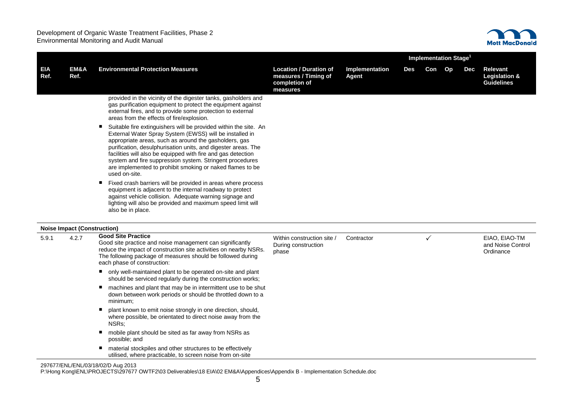

|                    |                                    |                                                                                                                                                                                                                                                                                                                                                                                                                                                                                                                                                                                                                                                                                                                                                      |                                                                                    |                         | Implementation Stage <sup>1</sup> |     |    |     |                                                                  |
|--------------------|------------------------------------|------------------------------------------------------------------------------------------------------------------------------------------------------------------------------------------------------------------------------------------------------------------------------------------------------------------------------------------------------------------------------------------------------------------------------------------------------------------------------------------------------------------------------------------------------------------------------------------------------------------------------------------------------------------------------------------------------------------------------------------------------|------------------------------------------------------------------------------------|-------------------------|-----------------------------------|-----|----|-----|------------------------------------------------------------------|
| <b>EIA</b><br>Ref. | EM&A<br>Ref.                       | <b>Environmental Protection Measures</b>                                                                                                                                                                                                                                                                                                                                                                                                                                                                                                                                                                                                                                                                                                             | <b>Location / Duration of</b><br>measures / Timing of<br>completion of<br>measures | Implementation<br>Agent | Des                               | Con | Op | Dec | <b>Relevant</b><br><b>Legislation &amp;</b><br><b>Guidelines</b> |
|                    |                                    | provided in the vicinity of the digester tanks, gasholders and<br>gas purification equipment to protect the equipment against<br>external fires, and to provide some protection to external<br>areas from the effects of fire/explosion.                                                                                                                                                                                                                                                                                                                                                                                                                                                                                                             |                                                                                    |                         |                                   |     |    |     |                                                                  |
|                    |                                    | Suitable fire extinguishers will be provided within the site. An<br>٠<br>External Water Spray System (EWSS) will be installed in<br>appropriate areas, such as around the gasholders, gas<br>purification, desulphurisation units, and digester areas. The<br>facilities will also be equipped with fire and gas detection<br>system and fire suppression system. Stringent procedures<br>are implemented to prohibit smoking or naked flames to be<br>used on-site.<br>Fixed crash barriers will be provided in areas where process<br>٠<br>equipment is adjacent to the internal roadway to protect<br>against vehicle collision. Adequate warning signage and<br>lighting will also be provided and maximum speed limit will<br>also be in place. |                                                                                    |                         |                                   |     |    |     |                                                                  |
|                    | <b>Noise Impact (Construction)</b> |                                                                                                                                                                                                                                                                                                                                                                                                                                                                                                                                                                                                                                                                                                                                                      |                                                                                    |                         |                                   |     |    |     |                                                                  |
| 5.9.1              | 4.2.7                              | <b>Good Site Practice</b><br>Good site practice and noise management can significantly<br>reduce the impact of construction site activities on nearby NSRs.<br>The following package of measures should be followed during<br>each phase of construction:                                                                                                                                                                                                                                                                                                                                                                                                                                                                                            | Within construction site /<br>During construction<br>phase                         | Contractor              |                                   | ✓   |    |     | EIAO, EIAO-TM<br>and Noise Control<br>Ordinance                  |
|                    |                                    | • only well-maintained plant to be operated on-site and plant<br>should be serviced regularly during the construction works;                                                                                                                                                                                                                                                                                                                                                                                                                                                                                                                                                                                                                         |                                                                                    |                         |                                   |     |    |     |                                                                  |
|                    |                                    | machines and plant that may be in intermittent use to be shut<br>٠<br>down between work periods or should be throttled down to a<br>minimum;                                                                                                                                                                                                                                                                                                                                                                                                                                                                                                                                                                                                         |                                                                                    |                         |                                   |     |    |     |                                                                  |
|                    |                                    | plant known to emit noise strongly in one direction, should,<br>where possible, be orientated to direct noise away from the<br>NSR <sub>s</sub> :                                                                                                                                                                                                                                                                                                                                                                                                                                                                                                                                                                                                    |                                                                                    |                         |                                   |     |    |     |                                                                  |
|                    |                                    | mobile plant should be sited as far away from NSRs as<br>possible; and                                                                                                                                                                                                                                                                                                                                                                                                                                                                                                                                                                                                                                                                               |                                                                                    |                         |                                   |     |    |     |                                                                  |
|                    |                                    | material stockpiles and other structures to be effectively<br>п<br>utilised, where practicable, to screen noise from on-site                                                                                                                                                                                                                                                                                                                                                                                                                                                                                                                                                                                                                         |                                                                                    |                         |                                   |     |    |     |                                                                  |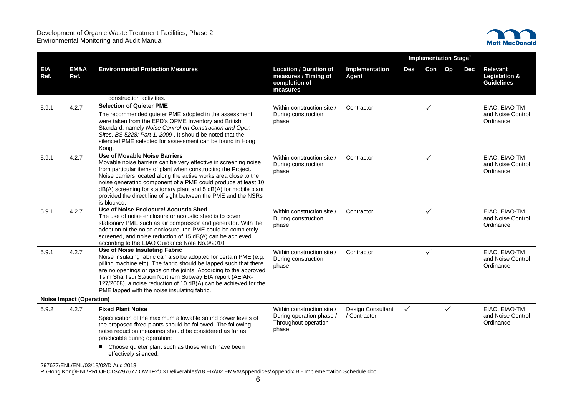

|                    |                                 |                                                                                                                                                                                                                                                                                                                                                                                                                                                                    |                                                                                    |                         | Implementation Stage <sup>1</sup> |     |              |     |                                                                  |
|--------------------|---------------------------------|--------------------------------------------------------------------------------------------------------------------------------------------------------------------------------------------------------------------------------------------------------------------------------------------------------------------------------------------------------------------------------------------------------------------------------------------------------------------|------------------------------------------------------------------------------------|-------------------------|-----------------------------------|-----|--------------|-----|------------------------------------------------------------------|
| <b>EIA</b><br>Ref. | EM&A<br>Ref.                    | <b>Environmental Protection Measures</b>                                                                                                                                                                                                                                                                                                                                                                                                                           | <b>Location / Duration of</b><br>measures / Timing of<br>completion of<br>measures | Implementation<br>Agent | Des                               | Con | Op           | Dec | <b>Relevant</b><br><b>Legislation &amp;</b><br><b>Guidelines</b> |
|                    |                                 | construction activities.                                                                                                                                                                                                                                                                                                                                                                                                                                           |                                                                                    |                         |                                   |     |              |     |                                                                  |
| 5.9.1              | 4.2.7                           | <b>Selection of Quieter PME</b>                                                                                                                                                                                                                                                                                                                                                                                                                                    | Within construction site /                                                         | Contractor              |                                   |     |              |     | EIAO, EIAO-TM                                                    |
|                    |                                 | The recommended quieter PME adopted in the assessment<br>were taken from the EPD's QPME Inventory and British<br>Standard, namely Noise Control on Construction and Open<br>Sites, BS 5228: Part 1: 2009 . It should be noted that the<br>silenced PME selected for assessment can be found in Hong<br>Kong.                                                                                                                                                       | During construction<br>phase                                                       |                         |                                   |     |              |     | and Noise Control<br>Ordinance                                   |
| 5.9.1              | 4.2.7                           | <b>Use of Movable Noise Barriers</b><br>Movable noise barriers can be very effective in screening noise<br>from particular items of plant when constructing the Project.<br>Noise barriers located along the active works area close to the<br>noise generating component of a PME could produce at least 10<br>dB(A) screening for stationary plant and 5 dB(A) for mobile plant<br>provided the direct line of sight between the PME and the NSRs<br>is blocked. | Within construction site /<br>During construction<br>phase                         | Contractor              |                                   | ✓   |              |     | EIAO, EIAO-TM<br>and Noise Control<br>Ordinance                  |
| 5.9.1              | 4.2.7                           | <b>Use of Noise Enclosure/ Acoustic Shed</b><br>The use of noise enclosure or acoustic shed is to cover<br>stationary PME such as air compressor and generator. With the<br>adoption of the noise enclosure, the PME could be completely<br>screened, and noise reduction of 15 dB(A) can be achieved<br>according to the EIAO Guidance Note No.9/2010.                                                                                                            | Within construction site /<br>During construction<br>phase                         | Contractor              |                                   | ✓   |              |     | EIAO, EIAO-TM<br>and Noise Control<br>Ordinance                  |
| 5.9.1              | 4.2.7                           | <b>Use of Noise Insulating Fabric</b><br>Noise insulating fabric can also be adopted for certain PME (e.g.<br>pilling machine etc). The fabric should be lapped such that there<br>are no openings or gaps on the joints. According to the approved<br>Tsim Sha Tsui Station Northern Subway EIA report (AEIAR-<br>127/2008), a noise reduction of 10 dB(A) can be achieved for the<br>PME lapped with the noise insulating fabric.                                | Within construction site /<br>During construction<br>phase                         | Contractor              |                                   | ✓   |              |     | EIAO, EIAO-TM<br>and Noise Control<br>Ordinance                  |
|                    | <b>Noise Impact (Operation)</b> |                                                                                                                                                                                                                                                                                                                                                                                                                                                                    |                                                                                    |                         |                                   |     |              |     |                                                                  |
| 5.9.2              | 4.2.7                           | <b>Fixed Plant Noise</b>                                                                                                                                                                                                                                                                                                                                                                                                                                           | Within construction site /                                                         | Design Consultant       | $\checkmark$                      |     | $\checkmark$ |     | EIAO, EIAO-TM                                                    |
|                    |                                 | Specification of the maximum allowable sound power levels of<br>the proposed fixed plants should be followed. The following<br>noise reduction measures should be considered as far as<br>practicable during operation:                                                                                                                                                                                                                                            | During operation phase /<br>Throughout operation<br>phase                          | / Contractor            |                                   |     |              |     | and Noise Control<br>Ordinance                                   |
|                    |                                 | Choose quieter plant such as those which have been<br>effectively silenced;                                                                                                                                                                                                                                                                                                                                                                                        |                                                                                    |                         |                                   |     |              |     |                                                                  |

297677/ENL/ENL/03/18/02/D Aug 2013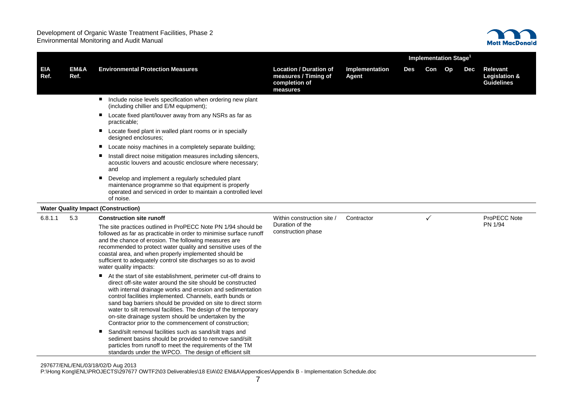

|                    |              |                                                                                                                                                                                                                                                                                                                                                                                                                                                                                                           |                                                                                    |                         | <b>Implementation Stage<sup>1</sup></b> |              |    |     |                                                           |
|--------------------|--------------|-----------------------------------------------------------------------------------------------------------------------------------------------------------------------------------------------------------------------------------------------------------------------------------------------------------------------------------------------------------------------------------------------------------------------------------------------------------------------------------------------------------|------------------------------------------------------------------------------------|-------------------------|-----------------------------------------|--------------|----|-----|-----------------------------------------------------------|
| <b>EIA</b><br>Ref. | EM&A<br>Ref. | <b>Environmental Protection Measures</b>                                                                                                                                                                                                                                                                                                                                                                                                                                                                  | <b>Location / Duration of</b><br>measures / Timing of<br>completion of<br>measures | Implementation<br>Agent | Des                                     | Con          | Op | Dec | Relevant<br><b>Legislation &amp;</b><br><b>Guidelines</b> |
|                    |              | Include noise levels specification when ordering new plant<br>(including chillier and E/M equipment);                                                                                                                                                                                                                                                                                                                                                                                                     |                                                                                    |                         |                                         |              |    |     |                                                           |
|                    |              | Locate fixed plant/louver away from any NSRs as far as<br>practicable;                                                                                                                                                                                                                                                                                                                                                                                                                                    |                                                                                    |                         |                                         |              |    |     |                                                           |
|                    |              | Locate fixed plant in walled plant rooms or in specially<br>designed enclosures;                                                                                                                                                                                                                                                                                                                                                                                                                          |                                                                                    |                         |                                         |              |    |     |                                                           |
|                    |              | Locate noisy machines in a completely separate building;<br>٠                                                                                                                                                                                                                                                                                                                                                                                                                                             |                                                                                    |                         |                                         |              |    |     |                                                           |
|                    |              | Install direct noise mitigation measures including silencers,<br>п<br>acoustic louvers and acoustic enclosure where necessary;<br>and                                                                                                                                                                                                                                                                                                                                                                     |                                                                                    |                         |                                         |              |    |     |                                                           |
|                    |              | Develop and implement a regularly scheduled plant<br>■<br>maintenance programme so that equipment is properly<br>operated and serviced in order to maintain a controlled level<br>of noise.                                                                                                                                                                                                                                                                                                               |                                                                                    |                         |                                         |              |    |     |                                                           |
|                    |              | <b>Water Quality Impact (Construction)</b>                                                                                                                                                                                                                                                                                                                                                                                                                                                                |                                                                                    |                         |                                         |              |    |     |                                                           |
| 6.8.1.1            | 5.3          | <b>Construction site runoff</b>                                                                                                                                                                                                                                                                                                                                                                                                                                                                           | Within construction site /                                                         | Contractor              |                                         | $\checkmark$ |    |     | ProPECC Note                                              |
|                    |              | The site practices outlined in ProPECC Note PN 1/94 should be<br>followed as far as practicable in order to minimise surface runoff<br>and the chance of erosion. The following measures are<br>recommended to protect water quality and sensitive uses of the<br>coastal area, and when properly implemented should be<br>sufficient to adequately control site discharges so as to avoid<br>water quality impacts:                                                                                      | Duration of the<br>construction phase                                              |                         |                                         |              |    |     | PN 1/94                                                   |
|                    |              | At the start of site establishment, perimeter cut-off drains to<br>direct off-site water around the site should be constructed<br>with internal drainage works and erosion and sedimentation<br>control facilities implemented. Channels, earth bunds or<br>sand bag barriers should be provided on site to direct storm<br>water to silt removal facilities. The design of the temporary<br>on-site drainage system should be undertaken by the<br>Contractor prior to the commencement of construction; |                                                                                    |                         |                                         |              |    |     |                                                           |
|                    |              | Sand/silt removal facilities such as sand/silt traps and<br>п<br>sediment basins should be provided to remove sand/silt<br>particles from runoff to meet the requirements of the TM<br>standards under the WPCO. The design of efficient silt                                                                                                                                                                                                                                                             |                                                                                    |                         |                                         |              |    |     |                                                           |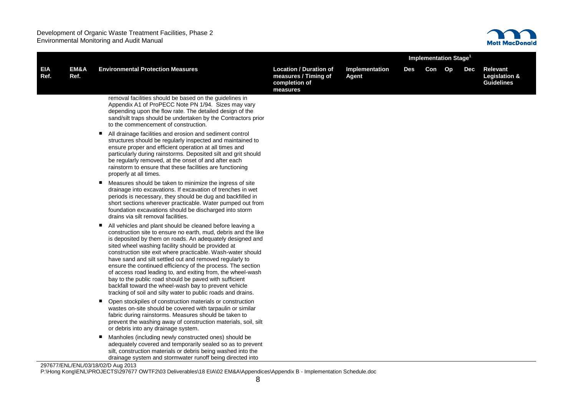

|             | <b>Implementation Stage</b> |                                                                                                                                                                                                                                                                                                                                                                                                                                                                                                                                                                                                                                                                                                |                                                                                    |                                |     |        |     |                                                           |
|-------------|-----------------------------|------------------------------------------------------------------------------------------------------------------------------------------------------------------------------------------------------------------------------------------------------------------------------------------------------------------------------------------------------------------------------------------------------------------------------------------------------------------------------------------------------------------------------------------------------------------------------------------------------------------------------------------------------------------------------------------------|------------------------------------------------------------------------------------|--------------------------------|-----|--------|-----|-----------------------------------------------------------|
| EIA<br>Ref. | EM&A<br>Ref.                | <b>Environmental Protection Measures</b>                                                                                                                                                                                                                                                                                                                                                                                                                                                                                                                                                                                                                                                       | <b>Location / Duration of</b><br>measures / Timing of<br>completion of<br>measures | Implementation<br><b>Agent</b> | Des | Con Op | Dec | Relevant<br><b>Legislation &amp;</b><br><b>Guidelines</b> |
|             |                             | removal facilities should be based on the guidelines in<br>Appendix A1 of ProPECC Note PN 1/94. Sizes may vary<br>depending upon the flow rate. The detailed design of the<br>sand/silt traps should be undertaken by the Contractors prior<br>to the commencement of construction.                                                                                                                                                                                                                                                                                                                                                                                                            |                                                                                    |                                |     |        |     |                                                           |
|             |                             | All drainage facilities and erosion and sediment control<br>structures should be regularly inspected and maintained to<br>ensure proper and efficient operation at all times and<br>particularly during rainstorms. Deposited silt and grit should<br>be regularly removed, at the onset of and after each<br>rainstorm to ensure that these facilities are functioning<br>properly at all times.                                                                                                                                                                                                                                                                                              |                                                                                    |                                |     |        |     |                                                           |
|             |                             | Measures should be taken to minimize the ingress of site<br>٠<br>drainage into excavations. If excavation of trenches in wet<br>periods is necessary, they should be dug and backfilled in<br>short sections wherever practicable. Water pumped out from<br>foundation excavations should be discharged into storm<br>drains via silt removal facilities.                                                                                                                                                                                                                                                                                                                                      |                                                                                    |                                |     |        |     |                                                           |
|             |                             | All vehicles and plant should be cleaned before leaving a<br>ш<br>construction site to ensure no earth, mud, debris and the like<br>is deposited by them on roads. An adequately designed and<br>sited wheel washing facility should be provided at<br>construction site exit where practicable. Wash-water should<br>have sand and silt settled out and removed regularly to<br>ensure the continued efficiency of the process. The section<br>of access road leading to, and exiting from, the wheel-wash<br>bay to the public road should be paved with sufficient<br>backfall toward the wheel-wash bay to prevent vehicle<br>tracking of soil and silty water to public roads and drains. |                                                                                    |                                |     |        |     |                                                           |
|             |                             | Open stockpiles of construction materials or construction<br>п<br>wastes on-site should be covered with tarpaulin or similar<br>fabric during rainstorms. Measures should be taken to<br>prevent the washing away of construction materials, soil, silt<br>or debris into any drainage system.                                                                                                                                                                                                                                                                                                                                                                                                 |                                                                                    |                                |     |        |     |                                                           |
|             |                             | Manholes (including newly constructed ones) should be<br>adequately covered and temporarily sealed so as to prevent<br>silt, construction materials or debris being washed into the<br>drainage system and stormwater runoff being directed into                                                                                                                                                                                                                                                                                                                                                                                                                                               |                                                                                    |                                |     |        |     |                                                           |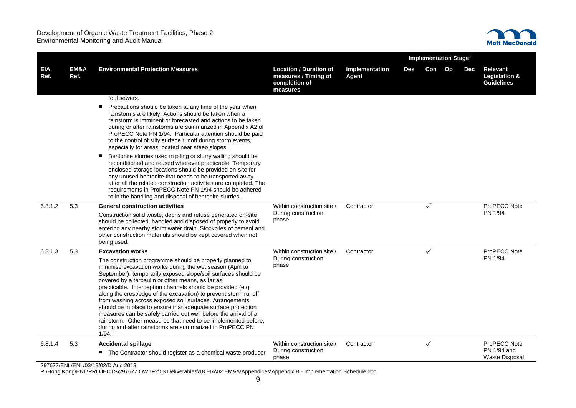

|                    |              |                                                                                                                                                                                                                                                                                                                                                                                                                                                                                                                                                                                                                                                                                                                   |                                                                                    |                                | <b>Implementation Stage<sup>1</sup></b> |              |    |            |                                                                  |
|--------------------|--------------|-------------------------------------------------------------------------------------------------------------------------------------------------------------------------------------------------------------------------------------------------------------------------------------------------------------------------------------------------------------------------------------------------------------------------------------------------------------------------------------------------------------------------------------------------------------------------------------------------------------------------------------------------------------------------------------------------------------------|------------------------------------------------------------------------------------|--------------------------------|-----------------------------------------|--------------|----|------------|------------------------------------------------------------------|
| <b>EIA</b><br>Ref. | EM&A<br>Ref. | <b>Environmental Protection Measures</b>                                                                                                                                                                                                                                                                                                                                                                                                                                                                                                                                                                                                                                                                          | <b>Location / Duration of</b><br>measures / Timing of<br>completion of<br>measures | Implementation<br><b>Agent</b> | <b>Des</b>                              | Con          | Op | <b>Dec</b> | <b>Relevant</b><br><b>Legislation &amp;</b><br><b>Guidelines</b> |
|                    |              | foul sewers.                                                                                                                                                                                                                                                                                                                                                                                                                                                                                                                                                                                                                                                                                                      |                                                                                    |                                |                                         |              |    |            |                                                                  |
|                    |              | ٠<br>Precautions should be taken at any time of the year when<br>rainstorms are likely. Actions should be taken when a<br>rainstorm is imminent or forecasted and actions to be taken<br>during or after rainstorms are summarized in Appendix A2 of<br>ProPECC Note PN 1/94. Particular attention should be paid<br>to the control of silty surface runoff during storm events,<br>especially for areas located near steep slopes.                                                                                                                                                                                                                                                                               |                                                                                    |                                |                                         |              |    |            |                                                                  |
|                    |              | Bentonite slurries used in piling or slurry walling should be<br>п<br>reconditioned and reused wherever practicable. Temporary<br>enclosed storage locations should be provided on-site for<br>any unused bentonite that needs to be transported away<br>after all the related construction activities are completed. The<br>requirements in ProPECC Note PN 1/94 should be adhered<br>to in the handling and disposal of bentonite slurries.                                                                                                                                                                                                                                                                     |                                                                                    |                                |                                         |              |    |            |                                                                  |
| 6.8.1.2            | 5.3          | <b>General construction activities</b><br>Construction solid waste, debris and refuse generated on-site<br>should be collected, handled and disposed of properly to avoid<br>entering any nearby storm water drain. Stockpiles of cement and<br>other construction materials should be kept covered when not<br>being used.                                                                                                                                                                                                                                                                                                                                                                                       | Within construction site /<br>During construction<br>phase                         | Contractor                     |                                         | ✓            |    |            | ProPECC Note<br>PN 1/94                                          |
| 6.8.1.3            | 5.3          | <b>Excavation works</b>                                                                                                                                                                                                                                                                                                                                                                                                                                                                                                                                                                                                                                                                                           | Within construction site /                                                         | Contractor                     |                                         | $\checkmark$ |    |            | ProPECC Note                                                     |
|                    |              | The construction programme should be properly planned to<br>minimise excavation works during the wet season (April to<br>September), temporarily exposed slope/soil surfaces should be<br>covered by a tarpaulin or other means, as far as<br>practicable. Interception channels should be provided (e.g.<br>along the crest/edge of the excavation) to prevent storm runoff<br>from washing across exposed soil surfaces. Arrangements<br>should be in place to ensure that adequate surface protection<br>measures can be safely carried out well before the arrival of a<br>rainstorm. Other measures that need to be implemented before,<br>during and after rainstorms are summarized in ProPECC PN<br>1/94. | During construction<br>phase                                                       |                                |                                         |              |    |            | PN 1/94                                                          |
| 6.8.1.4            | 5.3          | <b>Accidental spillage</b>                                                                                                                                                                                                                                                                                                                                                                                                                                                                                                                                                                                                                                                                                        | Within construction site /                                                         | Contractor                     |                                         | $\checkmark$ |    |            | ProPECC Note                                                     |
|                    |              | ■ The Contractor should register as a chemical waste producer                                                                                                                                                                                                                                                                                                                                                                                                                                                                                                                                                                                                                                                     | During construction<br>phase                                                       |                                |                                         |              |    |            | PN 1/94 and<br>Waste Disposal                                    |
|                    |              | 297677/ENL/ENL/03/18/02/D Aug 2013                                                                                                                                                                                                                                                                                                                                                                                                                                                                                                                                                                                                                                                                                |                                                                                    |                                |                                         |              |    |            |                                                                  |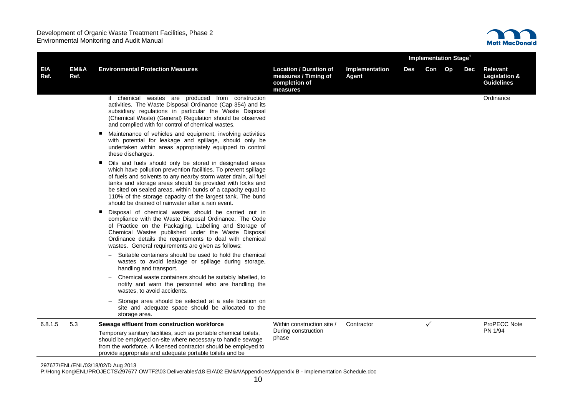

|             |              |                                                                                                                                                                                                                                                                                                                                                                                                                                                       |                                                                                    | <b>Implementation Stage<sup>1</sup></b> |     |              |  |     |                                                |
|-------------|--------------|-------------------------------------------------------------------------------------------------------------------------------------------------------------------------------------------------------------------------------------------------------------------------------------------------------------------------------------------------------------------------------------------------------------------------------------------------------|------------------------------------------------------------------------------------|-----------------------------------------|-----|--------------|--|-----|------------------------------------------------|
| EIA<br>Ref. | EM&A<br>Ref. | <b>Environmental Protection Measures</b>                                                                                                                                                                                                                                                                                                                                                                                                              | <b>Location / Duration of</b><br>measures / Timing of<br>completion of<br>measures | Implementation<br><b>Agent</b>          | Des | Con Op       |  | Dec | Relevant<br>Legislation &<br><b>Guidelines</b> |
|             |              | if chemical wastes are produced from construction<br>activities. The Waste Disposal Ordinance (Cap 354) and its<br>subsidiary regulations in particular the Waste Disposal<br>(Chemical Waste) (General) Regulation should be observed<br>and complied with for control of chemical wastes.                                                                                                                                                           |                                                                                    |                                         |     |              |  |     | Ordinance                                      |
|             |              | Maintenance of vehicles and equipment, involving activities<br>٠<br>with potential for leakage and spillage, should only be<br>undertaken within areas appropriately equipped to control<br>these discharges.                                                                                                                                                                                                                                         |                                                                                    |                                         |     |              |  |     |                                                |
|             |              | Oils and fuels should only be stored in designated areas<br>٠<br>which have pollution prevention facilities. To prevent spillage<br>of fuels and solvents to any nearby storm water drain, all fuel<br>tanks and storage areas should be provided with locks and<br>be sited on sealed areas, within bunds of a capacity equal to<br>110% of the storage capacity of the largest tank. The bund<br>should be drained of rainwater after a rain event. |                                                                                    |                                         |     |              |  |     |                                                |
|             |              | Disposal of chemical wastes should be carried out in<br>п<br>compliance with the Waste Disposal Ordinance. The Code<br>of Practice on the Packaging, Labelling and Storage of<br>Chemical Wastes published under the Waste Disposal<br>Ordinance details the requirements to deal with chemical<br>wastes. General requirements are given as follows:                                                                                                 |                                                                                    |                                         |     |              |  |     |                                                |
|             |              | Suitable containers should be used to hold the chemical<br>wastes to avoid leakage or spillage during storage,<br>handling and transport.                                                                                                                                                                                                                                                                                                             |                                                                                    |                                         |     |              |  |     |                                                |
|             |              | Chemical waste containers should be suitably labelled, to<br>notify and warn the personnel who are handling the<br>wastes, to avoid accidents.                                                                                                                                                                                                                                                                                                        |                                                                                    |                                         |     |              |  |     |                                                |
|             |              | Storage area should be selected at a safe location on<br>site and adequate space should be allocated to the<br>storage area.                                                                                                                                                                                                                                                                                                                          |                                                                                    |                                         |     |              |  |     |                                                |
| 6.8.1.5     | 5.3          | Sewage effluent from construction workforce                                                                                                                                                                                                                                                                                                                                                                                                           | Within construction site /                                                         | Contractor                              |     | $\checkmark$ |  |     | ProPECC Note                                   |
|             |              | Temporary sanitary facilities, such as portable chemical toilets,<br>should be employed on-site where necessary to handle sewage<br>from the workforce. A licensed contractor should be employed to<br>provide appropriate and adequate portable toilets and be                                                                                                                                                                                       | During construction<br>phase                                                       |                                         |     |              |  |     | PN 1/94                                        |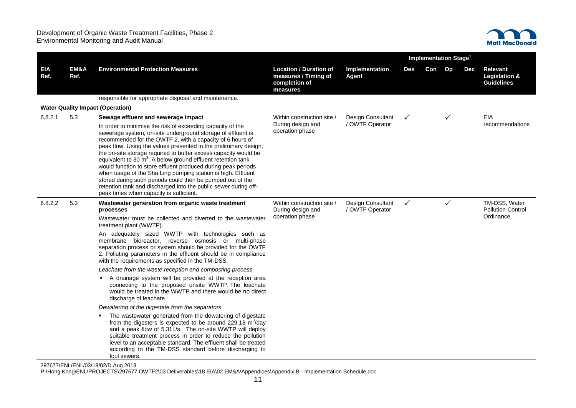

|                    |              |                                                                                                                                                                                                                                                                                                                                                                                                                                                                                                                                                                                                                                                                                                               |                                                                                    |                                      |              | Implementation Stage <sup>1</sup> |              |     |                                                                  |
|--------------------|--------------|---------------------------------------------------------------------------------------------------------------------------------------------------------------------------------------------------------------------------------------------------------------------------------------------------------------------------------------------------------------------------------------------------------------------------------------------------------------------------------------------------------------------------------------------------------------------------------------------------------------------------------------------------------------------------------------------------------------|------------------------------------------------------------------------------------|--------------------------------------|--------------|-----------------------------------|--------------|-----|------------------------------------------------------------------|
| <b>EIA</b><br>Ref. | EM&A<br>Ref. | <b>Environmental Protection Measures</b>                                                                                                                                                                                                                                                                                                                                                                                                                                                                                                                                                                                                                                                                      | <b>Location / Duration of</b><br>measures / Timing of<br>completion of<br>measures | Implementation<br><b>Agent</b>       | Des          | Con Op                            |              | Dec | <b>Relevant</b><br><b>Legislation &amp;</b><br><b>Guidelines</b> |
|                    |              | responsible for appropriate disposal and maintenance.                                                                                                                                                                                                                                                                                                                                                                                                                                                                                                                                                                                                                                                         |                                                                                    |                                      |              |                                   |              |     |                                                                  |
|                    |              | <b>Water Quality Impact (Operation)</b>                                                                                                                                                                                                                                                                                                                                                                                                                                                                                                                                                                                                                                                                       |                                                                                    |                                      |              |                                   |              |     |                                                                  |
| 6.8.2.1            | 5.3          | Sewage effluent and sewerage impact                                                                                                                                                                                                                                                                                                                                                                                                                                                                                                                                                                                                                                                                           | Within construction site /                                                         | <b>Design Consultant</b>             | $\checkmark$ |                                   | ✓            |     | EIA                                                              |
|                    |              | In order to minimise the risk of exceeding capacity of the<br>sewerage system, on-site underground storage of effluent is<br>recommended for the OWTF 2, with a capacity of 6 hours of<br>peak flow. Using the values presented in the preliminary design,<br>the on-site storage required to buffer excess capacity would be<br>equivalent to 30 $m^3$ . A below ground effluent retention tank<br>would function to store effluent produced during peak periods<br>when usage of the Sha Ling pumping station is high. Effluent<br>stored during such periods could then be pumped out of the<br>retention tank and discharged into the public sewer during off-<br>peak times when capacity is sufficient. | During design and<br>operation phase                                               | / OWTF Operator                      |              |                                   |              |     | recommendations                                                  |
| 6.8.2.2            | 5.3          | Wastewater generation from organic waste treatment<br>processes                                                                                                                                                                                                                                                                                                                                                                                                                                                                                                                                                                                                                                               | Within construction site /<br>During design and<br>operation phase                 | Design Consultant<br>/ OWTF Operator | $\checkmark$ |                                   | $\checkmark$ |     | TM-DSS, Water<br><b>Pollution Control</b>                        |
|                    |              | Wastewater must be collected and diverted to the wastewater<br>treatment plant (WWTP).                                                                                                                                                                                                                                                                                                                                                                                                                                                                                                                                                                                                                        |                                                                                    |                                      |              |                                   |              |     | Ordinance                                                        |
|                    |              | An adequately sized WWTP with technologies such as<br>membrane bioreactor, reverse osmosis or multi-phase<br>separation process or system should be provided for the OWTF<br>2. Polluting parameters in the effluent should be in compliance<br>with the requirements as specified in the TM-DSS.                                                                                                                                                                                                                                                                                                                                                                                                             |                                                                                    |                                      |              |                                   |              |     |                                                                  |
|                    |              | Leachate from the waste reception and composting process                                                                                                                                                                                                                                                                                                                                                                                                                                                                                                                                                                                                                                                      |                                                                                    |                                      |              |                                   |              |     |                                                                  |
|                    |              | A drainage system will be provided at the reception area<br>connecting to the proposed onsite WWTP. The leachate<br>would be treated in the WWTP and there would be no direct<br>discharge of leachate.                                                                                                                                                                                                                                                                                                                                                                                                                                                                                                       |                                                                                    |                                      |              |                                   |              |     |                                                                  |
|                    |              | Dewatering of the digestate from the separators                                                                                                                                                                                                                                                                                                                                                                                                                                                                                                                                                                                                                                                               |                                                                                    |                                      |              |                                   |              |     |                                                                  |
|                    |              | The wastewater generated from the dewatering of digestate<br>from the digesters is expected to be around 229.18 $m^3$ /day<br>and a peak flow of 5.31L/s. The on-site WWTP will deploy<br>suitable treatment process in order to reduce the pollution<br>level to an acceptable standard. The effluent shall be treated<br>according to the TM-DSS standard before discharging to<br>foul sewers.                                                                                                                                                                                                                                                                                                             |                                                                                    |                                      |              |                                   |              |     |                                                                  |

297677/ENL/ENL/03/18/02/D Aug 2013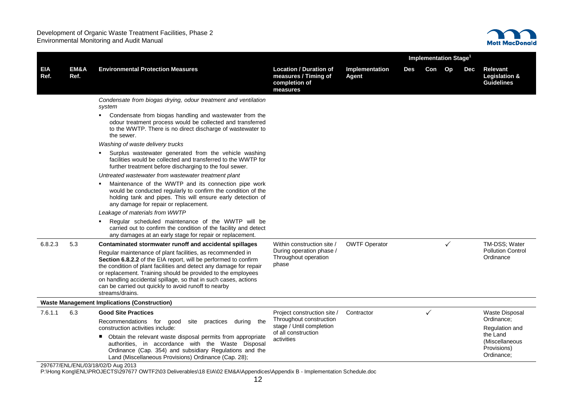

|             |              |                                                                                                                                                                                                                                                                                                                                                                                                                   |                                                                                    |                                | Implementation Stage <sup>1</sup> |     |              |     |                                                         |
|-------------|--------------|-------------------------------------------------------------------------------------------------------------------------------------------------------------------------------------------------------------------------------------------------------------------------------------------------------------------------------------------------------------------------------------------------------------------|------------------------------------------------------------------------------------|--------------------------------|-----------------------------------|-----|--------------|-----|---------------------------------------------------------|
| EIA<br>Ref. | EM&A<br>Ref. | <b>Environmental Protection Measures</b>                                                                                                                                                                                                                                                                                                                                                                          | <b>Location / Duration of</b><br>measures / Timing of<br>completion of<br>measures | Implementation<br><b>Agent</b> | Des                               | Con | Op           | Dec | Relevant<br>Legislation &<br><b>Guidelines</b>          |
|             |              | Condensate from biogas drying, odour treatment and ventilation<br>system                                                                                                                                                                                                                                                                                                                                          |                                                                                    |                                |                                   |     |              |     |                                                         |
|             |              | Condensate from biogas handling and wastewater from the<br>٠<br>odour treatment process would be collected and transferred<br>to the WWTP. There is no direct discharge of wastewater to<br>the sewer.                                                                                                                                                                                                            |                                                                                    |                                |                                   |     |              |     |                                                         |
|             |              | Washing of waste delivery trucks                                                                                                                                                                                                                                                                                                                                                                                  |                                                                                    |                                |                                   |     |              |     |                                                         |
|             |              | Surplus wastewater generated from the vehicle washing<br>facilities would be collected and transferred to the WWTP for<br>further treatment before discharging to the foul sewer.                                                                                                                                                                                                                                 |                                                                                    |                                |                                   |     |              |     |                                                         |
|             |              | Untreated wastewater from wastewater treatment plant                                                                                                                                                                                                                                                                                                                                                              |                                                                                    |                                |                                   |     |              |     |                                                         |
|             |              | Maintenance of the WWTP and its connection pipe work<br>$\blacksquare$<br>would be conducted regularly to confirm the condition of the<br>holding tank and pipes. This will ensure early detection of<br>any damage for repair or replacement.                                                                                                                                                                    |                                                                                    |                                |                                   |     |              |     |                                                         |
|             |              | Leakage of materials from WWTP                                                                                                                                                                                                                                                                                                                                                                                    |                                                                                    |                                |                                   |     |              |     |                                                         |
|             |              | Regular scheduled maintenance of the WWTP will be<br>carried out to confirm the condition of the facility and detect<br>any damages at an early stage for repair or replacement.                                                                                                                                                                                                                                  |                                                                                    |                                |                                   |     |              |     |                                                         |
| 6.8.2.3     | 5.3          | Contaminated stormwater runoff and accidental spillages                                                                                                                                                                                                                                                                                                                                                           | Within construction site /                                                         | <b>OWTF Operator</b>           |                                   |     | $\checkmark$ |     | TM-DSS; Water                                           |
|             |              | Regular maintenance of plant facilities, as recommended in<br>Section 6.8.2.2 of the EIA report, will be performed to confirm<br>the condition of plant facilities and detect any damage for repair<br>or replacement. Training should be provided to the employees<br>on handling accidental spillage, so that in such cases, actions<br>can be carried out quickly to avoid runoff to nearby<br>streams/drains. | During operation phase /<br>Throughout operation<br>phase                          |                                |                                   |     |              |     | <b>Pollution Control</b><br>Ordinance                   |
|             |              | <b>Waste Management Implications (Construction)</b>                                                                                                                                                                                                                                                                                                                                                               |                                                                                    |                                |                                   |     |              |     |                                                         |
| 7.6.1.1     | 6.3          | <b>Good Site Practices</b>                                                                                                                                                                                                                                                                                                                                                                                        | Project construction site /                                                        | Contractor                     |                                   | ✓   |              |     | Waste Disposal                                          |
|             |              | Recommendations for good site practices<br>during<br>the<br>construction activities include:                                                                                                                                                                                                                                                                                                                      | Throughout construction<br>stage / Until completion                                |                                |                                   |     |              |     | Ordinance:<br>Regulation and                            |
|             |              | Obtain the relevant waste disposal permits from appropriate<br>authorities, in accordance with the Waste Disposal<br>Ordinance (Cap. 354) and subsidiary Regulations and the<br>Land (Miscellaneous Provisions) Ordinance (Cap. 28);                                                                                                                                                                              | of all construction<br>activities                                                  |                                |                                   |     |              |     | the Land<br>(Miscellaneous<br>Provisions)<br>Ordinance; |
|             |              | 207677/ENIL/ENIL/02/19/02/D Aug 2012                                                                                                                                                                                                                                                                                                                                                                              |                                                                                    |                                |                                   |     |              |     |                                                         |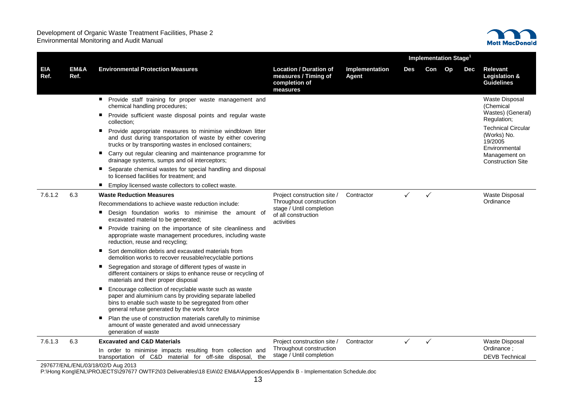

|                    |              |                                                                                                                                                                                                                                                                                                                                                                                                                                                                                                                                                                                                                                                                                                                                                                                                                                                                                                                                                                                                                                           |                                                                                                                         |                                | <b>Implementation Stage<sup>1</sup></b> |              |    |     |                                                                                                                                                                                             |  |  |
|--------------------|--------------|-------------------------------------------------------------------------------------------------------------------------------------------------------------------------------------------------------------------------------------------------------------------------------------------------------------------------------------------------------------------------------------------------------------------------------------------------------------------------------------------------------------------------------------------------------------------------------------------------------------------------------------------------------------------------------------------------------------------------------------------------------------------------------------------------------------------------------------------------------------------------------------------------------------------------------------------------------------------------------------------------------------------------------------------|-------------------------------------------------------------------------------------------------------------------------|--------------------------------|-----------------------------------------|--------------|----|-----|---------------------------------------------------------------------------------------------------------------------------------------------------------------------------------------------|--|--|
| <b>EIA</b><br>Ref. | EM&A<br>Ref. | <b>Environmental Protection Measures</b>                                                                                                                                                                                                                                                                                                                                                                                                                                                                                                                                                                                                                                                                                                                                                                                                                                                                                                                                                                                                  | <b>Location / Duration of</b><br>measures / Timing of<br>completion of<br>measures                                      | Implementation<br><b>Agent</b> | Des                                     | Con          | Op | Dec | Relevant<br><b>Legislation &amp;</b><br><b>Guidelines</b>                                                                                                                                   |  |  |
|                    |              | Provide staff training for proper waste management and<br>chemical handling procedures;<br>Provide sufficient waste disposal points and regular waste<br>٠<br>collection;<br>Provide appropriate measures to minimise windblown litter<br>٠<br>and dust during transportation of waste by either covering<br>trucks or by transporting wastes in enclosed containers;<br>Carry out regular cleaning and maintenance programme for<br>٠<br>drainage systems, sumps and oil interceptors;<br>Separate chemical wastes for special handling and disposal<br>٠<br>to licensed facilities for treatment; and<br>Employ licensed waste collectors to collect waste.                                                                                                                                                                                                                                                                                                                                                                             |                                                                                                                         |                                |                                         |              |    |     | <b>Waste Disposal</b><br>(Chemical<br>Wastes) (General)<br>Regulation;<br><b>Technical Circular</b><br>(Works) No.<br>19/2005<br>Environmental<br>Management on<br><b>Construction Site</b> |  |  |
| 7.6.1.2            | 6.3          | <b>Waste Reduction Measures</b><br>Recommendations to achieve waste reduction include:<br>Design foundation works to minimise the amount of<br>٠<br>excavated material to be generated:<br>Provide training on the importance of site cleanliness and<br>٠<br>appropriate waste management procedures, including waste<br>reduction, reuse and recycling;<br>Sort demolition debris and excavated materials from<br>٠<br>demolition works to recover reusable/recyclable portions<br>Segregation and storage of different types of waste in<br>п<br>different containers or skips to enhance reuse or recycling of<br>materials and their proper disposal<br>Encourage collection of recyclable waste such as waste<br>п<br>paper and aluminium cans by providing separate labelled<br>bins to enable such waste to be segregated from other<br>general refuse generated by the work force<br>Plan the use of construction materials carefully to minimise<br>п<br>amount of waste generated and avoid unnecessary<br>generation of waste | Project construction site /<br>Throughout construction<br>stage / Until completion<br>of all construction<br>activities | Contractor                     | $\checkmark$                            | $\checkmark$ |    |     | Waste Disposal<br>Ordinance                                                                                                                                                                 |  |  |
| 7.6.1.3            | 6.3          | <b>Excavated and C&amp;D Materials</b><br>In order to minimise impacts resulting from collection and<br>transportation of C&D material for off-site disposal, the                                                                                                                                                                                                                                                                                                                                                                                                                                                                                                                                                                                                                                                                                                                                                                                                                                                                         | Project construction site /<br>Throughout construction<br>stage / Until completion                                      | Contractor                     | $\checkmark$                            | $\checkmark$ |    |     | Waste Disposal<br>Ordinance;<br><b>DEVB Technical</b>                                                                                                                                       |  |  |
|                    |              | 297677/ENL/ENL/03/18/02/D Aug 2013                                                                                                                                                                                                                                                                                                                                                                                                                                                                                                                                                                                                                                                                                                                                                                                                                                                                                                                                                                                                        |                                                                                                                         |                                |                                         |              |    |     |                                                                                                                                                                                             |  |  |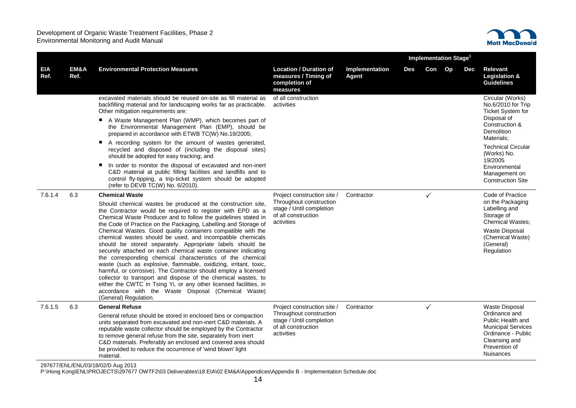

|                    |              |                                                                                                                                                                                                                                                                                                                                                                                                                                                                                                                                                                                                                                                                                                                                                                                                                                                                                                                                                        |                                                                                                                         |                         | <b>Implementation Stage<sup>1</sup></b> |              |  |            |                                                                                                                                                                      |  |
|--------------------|--------------|--------------------------------------------------------------------------------------------------------------------------------------------------------------------------------------------------------------------------------------------------------------------------------------------------------------------------------------------------------------------------------------------------------------------------------------------------------------------------------------------------------------------------------------------------------------------------------------------------------------------------------------------------------------------------------------------------------------------------------------------------------------------------------------------------------------------------------------------------------------------------------------------------------------------------------------------------------|-------------------------------------------------------------------------------------------------------------------------|-------------------------|-----------------------------------------|--------------|--|------------|----------------------------------------------------------------------------------------------------------------------------------------------------------------------|--|
| <b>EIA</b><br>Ref. | EM&A<br>Ref. | <b>Environmental Protection Measures</b>                                                                                                                                                                                                                                                                                                                                                                                                                                                                                                                                                                                                                                                                                                                                                                                                                                                                                                               | <b>Location / Duration of</b><br>measures / Timing of<br>completion of<br>measures                                      | Implementation<br>Agent | Des                                     | Con Op       |  | <b>Dec</b> | <b>Relevant</b><br><b>Legislation &amp;</b><br><b>Guidelines</b>                                                                                                     |  |
|                    |              | excavated materials should be reused on-site as fill material as<br>backfilling material and for landscaping works far as practicable.<br>Other mitigation requirements are:<br>A Waste Management Plan (WMP), which becomes part of<br>the Environmental Management Plan (EMP), should be                                                                                                                                                                                                                                                                                                                                                                                                                                                                                                                                                                                                                                                             | of all construction<br>activities                                                                                       |                         |                                         |              |  |            | Circular (Works)<br>No.6/2010 for Trip<br><b>Ticket System for</b><br>Disposal of<br>Construction &                                                                  |  |
|                    |              | prepared in accordance with ETWB TC(W) No.19/2005;                                                                                                                                                                                                                                                                                                                                                                                                                                                                                                                                                                                                                                                                                                                                                                                                                                                                                                     |                                                                                                                         |                         |                                         |              |  |            | Demolition<br>Materials:                                                                                                                                             |  |
|                    |              | A recording system for the amount of wastes generated,<br>recycled and disposed of (including the disposal sites)<br>should be adopted for easy tracking; and                                                                                                                                                                                                                                                                                                                                                                                                                                                                                                                                                                                                                                                                                                                                                                                          |                                                                                                                         |                         |                                         |              |  |            | <b>Technical Circular</b><br>(Works) No.<br>19/2005                                                                                                                  |  |
|                    |              | In order to monitor the disposal of excavated and non-inert<br>٠<br>C&D material at public filling facilities and landfills and to<br>control fly-tipping, a trip-ticket system should be adopted<br>(refer to DEVB TC(W) No. 6/2010).                                                                                                                                                                                                                                                                                                                                                                                                                                                                                                                                                                                                                                                                                                                 |                                                                                                                         |                         |                                         |              |  |            | Environmental<br>Management on<br><b>Construction Site</b>                                                                                                           |  |
| 7.6.1.4            | 6.3          | <b>Chemical Waste</b>                                                                                                                                                                                                                                                                                                                                                                                                                                                                                                                                                                                                                                                                                                                                                                                                                                                                                                                                  | Project construction site /                                                                                             | Contractor              |                                         | ✓            |  |            | Code of Practice                                                                                                                                                     |  |
|                    |              | Should chemical wastes be produced at the construction site,<br>the Contractor would be required to register with EPD as a<br>Chemical Waste Producer and to follow the guidelines stated in<br>the Code of Practice on the Packaging, Labelling and Storage of<br>Chemical Wastes. Good quality containers compatible with the<br>chemical wastes should be used, and incompatible chemicals<br>should be stored separately. Appropriate labels should be<br>securely attached on each chemical waste container indicating<br>the corresponding chemical characteristics of the chemical<br>waste (such as explosive, flammable, oxidizing, irritant, toxic,<br>harmful, or corrosive). The Contractor should employ a licensed<br>collector to transport and dispose of the chemical wastes, to<br>either the CWTC in Tsing Yi, or any other licensed facilities, in<br>accordance with the Waste Disposal (Chemical Waste)<br>(General) Regulation. | Throughout construction<br>stage / Until completion<br>of all construction<br>activities                                |                         |                                         |              |  |            | on the Packaging<br>Labelling and<br>Storage of<br><b>Chemical Wastes:</b><br>Waste Disposal<br>(Chemical Waste)<br>(General)<br>Regulation                          |  |
| 7.6.1.5            | 6.3          | <b>General Refuse</b><br>General refuse should be stored in enclosed bins or compaction<br>units separated from excavated and non-inert C&D materials. A<br>reputable waste collector should be employed by the Contractor<br>to remove general refuse from the site, separately from inert<br>C&D materials. Preferably an enclosed and covered area should<br>be provided to reduce the occurrence of 'wind blown' light<br>material.                                                                                                                                                                                                                                                                                                                                                                                                                                                                                                                | Project construction site /<br>Throughout construction<br>stage / Until completion<br>of all construction<br>activities | Contractor              |                                         | $\checkmark$ |  |            | <b>Waste Disposal</b><br>Ordinance and<br>Public Health and<br><b>Municipal Services</b><br>Ordinance - Public<br>Cleansing and<br>Prevention of<br><b>Nuisances</b> |  |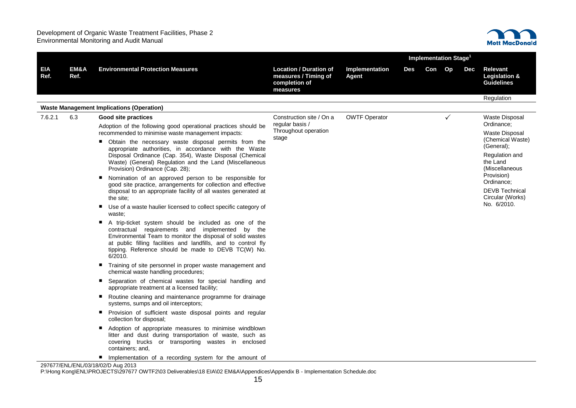

|             |              |                                                                                                                                                                                                                                                                                                            |                                                                                    |                         | <b>Implementation Stage<sup>1</sup></b> |        |              |     |                                                                  |  |
|-------------|--------------|------------------------------------------------------------------------------------------------------------------------------------------------------------------------------------------------------------------------------------------------------------------------------------------------------------|------------------------------------------------------------------------------------|-------------------------|-----------------------------------------|--------|--------------|-----|------------------------------------------------------------------|--|
| EIA<br>Ref. | EM&A<br>Ref. | <b>Environmental Protection Measures</b>                                                                                                                                                                                                                                                                   | <b>Location / Duration of</b><br>measures / Timing of<br>completion of<br>measures | Implementation<br>Agent | Des                                     | Con Op |              | Dec | <b>Relevant</b><br><b>Legislation &amp;</b><br><b>Guidelines</b> |  |
|             |              |                                                                                                                                                                                                                                                                                                            |                                                                                    |                         |                                         |        |              |     | Regulation                                                       |  |
|             |              | <b>Waste Management Implications (Operation)</b>                                                                                                                                                                                                                                                           |                                                                                    |                         |                                         |        |              |     |                                                                  |  |
| 7.6.2.1     | 6.3          | Good site practices                                                                                                                                                                                                                                                                                        | Construction site / On a                                                           | <b>OWTF Operator</b>    |                                         |        | $\checkmark$ |     | Waste Disposal                                                   |  |
|             |              | Adoption of the following good operational practices should be<br>recommended to minimise waste management impacts:                                                                                                                                                                                        | regular basis /<br>Throughout operation<br>stage                                   |                         |                                         |        |              |     | Ordinance;<br>Waste Disposal                                     |  |
|             |              | ■ Obtain the necessary waste disposal permits from the<br>appropriate authorities, in accordance with the Waste<br>Disposal Ordinance (Cap. 354), Waste Disposal (Chemical                                                                                                                                 |                                                                                    |                         |                                         |        |              |     | (Chemical Waste)<br>(General);<br>Regulation and                 |  |
|             |              | Waste) (General) Regulation and the Land (Miscellaneous<br>Provision) Ordinance (Cap. 28);                                                                                                                                                                                                                 |                                                                                    |                         |                                         |        |              |     | the Land<br>(Miscellaneous                                       |  |
|             |              | Nomination of an approved person to be responsible for                                                                                                                                                                                                                                                     |                                                                                    |                         |                                         |        |              |     | Provision)<br>Ordinance;                                         |  |
|             |              | good site practice, arrangements for collection and effective<br>disposal to an appropriate facility of all wastes generated at<br>the site:                                                                                                                                                               |                                                                                    |                         |                                         |        |              |     | <b>DEVB</b> Technical<br>Circular (Works)                        |  |
|             |              | Use of a waste haulier licensed to collect specific category of<br>waste:                                                                                                                                                                                                                                  |                                                                                    |                         |                                         |        |              |     | No. 6/2010.                                                      |  |
|             |              | A trip-ticket system should be included as one of the<br>contractual requirements and implemented by the<br>Environmental Team to monitor the disposal of solid wastes<br>at public filling facilities and landfills, and to control fly<br>tipping. Reference should be made to DEVB TC(W) No.<br>6/2010. |                                                                                    |                         |                                         |        |              |     |                                                                  |  |
|             |              | Training of site personnel in proper waste management and<br>chemical waste handling procedures;                                                                                                                                                                                                           |                                                                                    |                         |                                         |        |              |     |                                                                  |  |
|             |              | Separation of chemical wastes for special handling and<br>appropriate treatment at a licensed facility;                                                                                                                                                                                                    |                                                                                    |                         |                                         |        |              |     |                                                                  |  |
|             |              | Routine cleaning and maintenance programme for drainage<br>systems, sumps and oil interceptors;                                                                                                                                                                                                            |                                                                                    |                         |                                         |        |              |     |                                                                  |  |
|             |              | Provision of sufficient waste disposal points and regular<br>collection for disposal;                                                                                                                                                                                                                      |                                                                                    |                         |                                         |        |              |     |                                                                  |  |
|             |              | Adoption of appropriate measures to minimise windblown<br>litter and dust during transportation of waste, such as<br>covering trucks or transporting wastes in enclosed<br>containers; and,                                                                                                                |                                                                                    |                         |                                         |        |              |     |                                                                  |  |
|             |              | Implementation of a recording system for the amount of<br>297677/ENL/ENL/03/18/02/D Aug 2013                                                                                                                                                                                                               |                                                                                    |                         |                                         |        |              |     |                                                                  |  |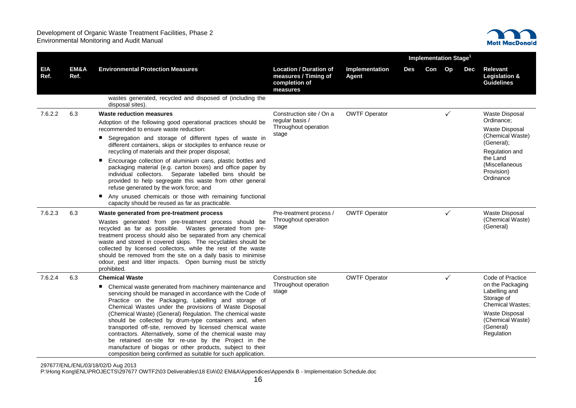

|                    |              |                                                                                                                                                                                                                                                                                                                                                                                                                                                                                                                                                                                                                                                                                                         |                                                                                    |                         | Implementation Stage <sup>1</sup> |     |    |     |                                                                                                                                                                    |  |
|--------------------|--------------|---------------------------------------------------------------------------------------------------------------------------------------------------------------------------------------------------------------------------------------------------------------------------------------------------------------------------------------------------------------------------------------------------------------------------------------------------------------------------------------------------------------------------------------------------------------------------------------------------------------------------------------------------------------------------------------------------------|------------------------------------------------------------------------------------|-------------------------|-----------------------------------|-----|----|-----|--------------------------------------------------------------------------------------------------------------------------------------------------------------------|--|
| <b>EIA</b><br>Ref. | EM&A<br>Ref. | <b>Environmental Protection Measures</b>                                                                                                                                                                                                                                                                                                                                                                                                                                                                                                                                                                                                                                                                | <b>Location / Duration of</b><br>measures / Timing of<br>completion of<br>measures | Implementation<br>Agent | Des                               | Con | Op | Dec | <b>Relevant</b><br>Legislation &<br><b>Guidelines</b>                                                                                                              |  |
|                    |              | wastes generated, recycled and disposed of (including the<br>disposal sites).                                                                                                                                                                                                                                                                                                                                                                                                                                                                                                                                                                                                                           |                                                                                    |                         |                                   |     |    |     |                                                                                                                                                                    |  |
| 7.6.2.2            | 6.3          | <b>Waste reduction measures</b><br>Adoption of the following good operational practices should be<br>recommended to ensure waste reduction:<br>■ Segregation and storage of different types of waste in<br>different containers, skips or stockpiles to enhance reuse or<br>recycling of materials and their proper disposal;<br>Encourage collection of aluminium cans, plastic bottles and<br>packaging material (e.g. carton boxes) and office paper by<br>individual collectors. Separate labelled bins should be<br>provided to help segregate this waste from other general<br>refuse generated by the work force; and<br>Any unused chemicals or those with remaining functional                 | Construction site / On a<br>regular basis /<br>Throughout operation<br>stage       | <b>OWTF Operator</b>    |                                   |     | ✓  |     | Waste Disposal<br>Ordinance;<br><b>Waste Disposal</b><br>(Chemical Waste)<br>(General);<br>Regulation and<br>the Land<br>(Miscellaneous<br>Provision)<br>Ordinance |  |
| 7.6.2.3            | 6.3          | capacity should be reused as far as practicable.<br>Waste generated from pre-treatment process<br>Wastes generated from pre-treatment process should be<br>recycled as far as possible. Wastes generated from pre-<br>treatment process should also be separated from any chemical<br>waste and stored in covered skips. The recyclables should be<br>collected by licensed collectors, while the rest of the waste<br>should be removed from the site on a daily basis to minimise<br>odour, pest and litter impacts. Open burning must be strictly<br>prohibited.                                                                                                                                     | Pre-treatment process /<br>Throughout operation<br>stage                           | <b>OWTF Operator</b>    |                                   |     | ✓  |     | Waste Disposal<br>(Chemical Waste)<br>(General)                                                                                                                    |  |
| 7.6.2.4            | 6.3          | <b>Chemical Waste</b><br>• Chemical waste generated from machinery maintenance and<br>servicing should be managed in accordance with the Code of<br>Practice on the Packaging, Labelling and storage of<br>Chemical Wastes under the provisions of Waste Disposal<br>(Chemical Waste) (General) Regulation. The chemical waste<br>should be collected by drum-type containers and, when<br>transported off-site, removed by licensed chemical waste<br>contractors. Alternatively, some of the chemical waste may<br>be retained on-site for re-use by the Project in the<br>manufacture of biogas or other products, subject to their<br>composition being confirmed as suitable for such application. | Construction site<br>Throughout operation<br>stage                                 | <b>OWTF Operator</b>    |                                   |     | ✓  |     | Code of Practice<br>on the Packaging<br>Labelling and<br>Storage of<br><b>Chemical Wastes:</b><br>Waste Disposal<br>(Chemical Waste)<br>(General)<br>Regulation    |  |

297677/ENL/ENL/03/18/02/D Aug 2013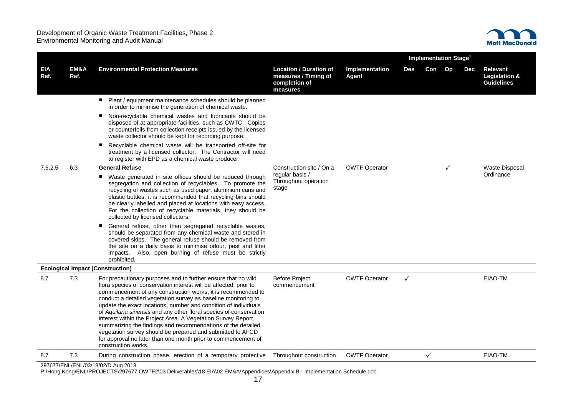

|                    |              |                                                                                                                                                                                                                                                                                                                                                                                                                                                                                                                                                                                                                                                                                                     |                                                                                    |                         | Implementation Stage <sup>1</sup> |              |              |            |                                                       |  |
|--------------------|--------------|-----------------------------------------------------------------------------------------------------------------------------------------------------------------------------------------------------------------------------------------------------------------------------------------------------------------------------------------------------------------------------------------------------------------------------------------------------------------------------------------------------------------------------------------------------------------------------------------------------------------------------------------------------------------------------------------------------|------------------------------------------------------------------------------------|-------------------------|-----------------------------------|--------------|--------------|------------|-------------------------------------------------------|--|
| <b>EIA</b><br>Ref. | EM&A<br>Ref. | <b>Environmental Protection Measures</b>                                                                                                                                                                                                                                                                                                                                                                                                                                                                                                                                                                                                                                                            | <b>Location / Duration of</b><br>measures / Timing of<br>completion of<br>measures | Implementation<br>Agent | Des                               | Con Op       |              | <b>Dec</b> | <b>Relevant</b><br>Legislation &<br><b>Guidelines</b> |  |
|                    |              | Plant / equipment maintenance schedules should be planned<br>ш<br>in order to minimise the generation of chemical waste.                                                                                                                                                                                                                                                                                                                                                                                                                                                                                                                                                                            |                                                                                    |                         |                                   |              |              |            |                                                       |  |
|                    |              | Non-recyclable chemical wastes and lubricants should be<br>ш<br>disposed of at appropriate facilities, such as CWTC. Copies<br>or counterfoils from collection receipts issued by the licensed<br>waste collector should be kept for recording purpose.                                                                                                                                                                                                                                                                                                                                                                                                                                             |                                                                                    |                         |                                   |              |              |            |                                                       |  |
|                    |              | Recyclable chemical waste will be transported off-site for<br>п<br>treatment by a licensed collector. The Contractor will need<br>to register with EPD as a chemical waste producer.                                                                                                                                                                                                                                                                                                                                                                                                                                                                                                                |                                                                                    |                         |                                   |              |              |            |                                                       |  |
| 7.6.2.5            | 6.3          | <b>General Refuse</b>                                                                                                                                                                                                                                                                                                                                                                                                                                                                                                                                                                                                                                                                               | Construction site / On a                                                           | <b>OWTF Operator</b>    |                                   |              | $\checkmark$ |            | <b>Waste Disposal</b>                                 |  |
|                    |              | Waste generated in site offices should be reduced through<br>segregation and collection of recyclables. To promote the<br>recycling of wastes such as used paper, aluminium cans and<br>plastic bottles, it is recommended that recycling bins should<br>be clearly labelled and placed at locations with easy access.<br>For the collection of recyclable materials, they should be<br>collected by licensed collectors.                                                                                                                                                                                                                                                                           | regular basis /<br>Throughout operation<br>stage                                   |                         |                                   |              |              |            | Ordinance                                             |  |
|                    |              | General refuse, other than segregated recyclable wastes,<br>should be separated from any chemical waste and stored in<br>covered skips. The general refuse should be removed from<br>the site on a daily basis to minimise odour, pest and litter<br>impacts. Also, open burning of refuse must be strictly<br>prohibited.                                                                                                                                                                                                                                                                                                                                                                          |                                                                                    |                         |                                   |              |              |            |                                                       |  |
|                    |              | <b>Ecological Impact (Construction)</b>                                                                                                                                                                                                                                                                                                                                                                                                                                                                                                                                                                                                                                                             |                                                                                    |                         |                                   |              |              |            |                                                       |  |
| 8.7                | 7.3          | For precautionary purposes and to further ensure that no wild<br>flora species of conservation interest will be affected, prior to<br>commencement of any construction works, it is recommended to<br>conduct a detailed vegetation survey as baseline monitoring to<br>update the exact locations, number and condition of individuals<br>of Aquilaria sinensis and any other floral species of conservation<br>interest within the Project Area. A Vegetation Survey Report<br>summarizing the findings and recommendations of the detailed<br>vegetation survey should be prepared and submitted to AFCD<br>for approval no later than one month prior to commencement of<br>construction works. | <b>Before Project</b><br>commencement                                              | <b>OWTF Operator</b>    | ✓                                 |              |              |            | EIAO-TM                                               |  |
| 8.7                | 7.3          | During construction phase, erection of a temporary protective                                                                                                                                                                                                                                                                                                                                                                                                                                                                                                                                                                                                                                       | Throughout construction                                                            | <b>OWTF Operator</b>    |                                   | $\checkmark$ |              |            | EIAO-TM                                               |  |
|                    |              | 297677/ENL/ENL/03/18/02/D Aug 2013<br>P:\Hong Kong\ENL\PROJECTS\297677 OWTF2\03 Deliverables\18 EIA\02 EM&A\Appendices\Appendix B - Implementation Schedule.doc                                                                                                                                                                                                                                                                                                                                                                                                                                                                                                                                     |                                                                                    |                         |                                   |              |              |            |                                                       |  |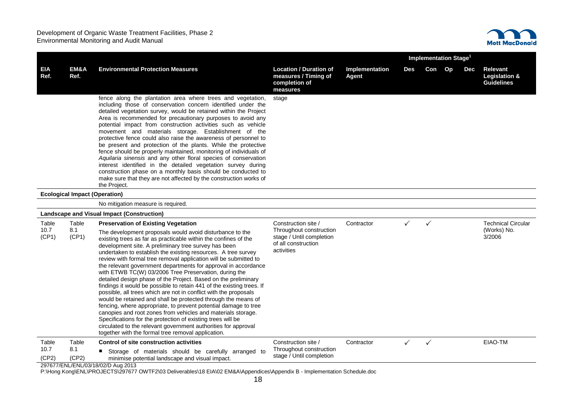

|                    |                                      |                                                                                                                                                                                                                                                                                                                                                                                                                                                                                                                                                                                                                                                                                                                                                                                                                                                                                                                                                                                                                                                               |                                                                                    |                         | <b>Implementation Stage<sup>1</sup></b> |              |  |     |                                                           |  |
|--------------------|--------------------------------------|---------------------------------------------------------------------------------------------------------------------------------------------------------------------------------------------------------------------------------------------------------------------------------------------------------------------------------------------------------------------------------------------------------------------------------------------------------------------------------------------------------------------------------------------------------------------------------------------------------------------------------------------------------------------------------------------------------------------------------------------------------------------------------------------------------------------------------------------------------------------------------------------------------------------------------------------------------------------------------------------------------------------------------------------------------------|------------------------------------------------------------------------------------|-------------------------|-----------------------------------------|--------------|--|-----|-----------------------------------------------------------|--|
| <b>EIA</b><br>Ref. | EM&A<br>Ref.                         | <b>Environmental Protection Measures</b>                                                                                                                                                                                                                                                                                                                                                                                                                                                                                                                                                                                                                                                                                                                                                                                                                                                                                                                                                                                                                      | <b>Location / Duration of</b><br>measures / Timing of<br>completion of<br>measures | Implementation<br>Agent | Des                                     | Con Op       |  | Dec | Relevant<br><b>Legislation &amp;</b><br><b>Guidelines</b> |  |
|                    |                                      | fence along the plantation area where trees and vegetation,<br>including those of conservation concern identified under the<br>detailed vegetation survey, would be retained within the Project<br>Area is recommended for precautionary purposes to avoid any<br>potential impact from construction activities such as vehicle<br>movement and materials storage. Establishment of the<br>protective fence could also raise the awareness of personnel to<br>be present and protection of the plants. While the protective<br>fence should be properly maintained, monitoring of individuals of<br>Aquilaria sinensis and any other floral species of conservation<br>interest identified in the detailed vegetation survey during<br>construction phase on a monthly basis should be conducted to<br>make sure that they are not affected by the construction works of<br>the Project.                                                                                                                                                                      | stage                                                                              |                         |                                         |              |  |     |                                                           |  |
|                    | <b>Ecological Impact (Operation)</b> |                                                                                                                                                                                                                                                                                                                                                                                                                                                                                                                                                                                                                                                                                                                                                                                                                                                                                                                                                                                                                                                               |                                                                                    |                         |                                         |              |  |     |                                                           |  |
|                    |                                      | No mitigation measure is required.                                                                                                                                                                                                                                                                                                                                                                                                                                                                                                                                                                                                                                                                                                                                                                                                                                                                                                                                                                                                                            |                                                                                    |                         |                                         |              |  |     |                                                           |  |
|                    |                                      | <b>Landscape and Visual Impact (Construction)</b>                                                                                                                                                                                                                                                                                                                                                                                                                                                                                                                                                                                                                                                                                                                                                                                                                                                                                                                                                                                                             |                                                                                    |                         |                                         |              |  |     |                                                           |  |
| Table              | Table                                | <b>Preservation of Existing Vegetation</b>                                                                                                                                                                                                                                                                                                                                                                                                                                                                                                                                                                                                                                                                                                                                                                                                                                                                                                                                                                                                                    | Construction site /<br>Throughout construction                                     | Contractor              | $\checkmark$                            | $\checkmark$ |  |     | <b>Technical Circular</b>                                 |  |
| 10.7<br>(CP1)      | 8.1<br>(CP1)                         | The development proposals would avoid disturbance to the<br>existing trees as far as practicable within the confines of the<br>development site. A preliminary tree survey has been<br>undertaken to establish the existing resources. A tree survey<br>review with formal tree removal application will be submitted to<br>the relevant government departments for approval in accordance<br>with ETWB TC(W) 03/2006 Tree Preservation, during the<br>detailed design phase of the Project. Based on the preliminary<br>findings it would be possible to retain 441 of the existing trees. If<br>possible, all trees which are not in conflict with the proposals<br>would be retained and shall be protected through the means of<br>fencing, where appropriate, to prevent potential damage to tree<br>canopies and root zones from vehicles and materials storage.<br>Specifications for the protection of existing trees will be<br>circulated to the relevant government authorities for approval<br>together with the formal tree removal application. | stage / Until completion<br>of all construction<br>activities                      |                         |                                         |              |  |     | (Works) No.<br>3/2006                                     |  |
| Table              | Table                                | Control of site construction activities                                                                                                                                                                                                                                                                                                                                                                                                                                                                                                                                                                                                                                                                                                                                                                                                                                                                                                                                                                                                                       | Construction site /                                                                | Contractor              | $\checkmark$                            | $\checkmark$ |  |     | EIAO-TM                                                   |  |
| 10.7<br>(CP2)      | 8.1<br>(CP2)                         | Storage of materials should be carefully arranged to<br>minimise potential landscape and visual impact.                                                                                                                                                                                                                                                                                                                                                                                                                                                                                                                                                                                                                                                                                                                                                                                                                                                                                                                                                       | Throughout construction<br>stage / Until completion                                |                         |                                         |              |  |     |                                                           |  |
|                    |                                      | 297677/ENL/ENL/03/18/02/D Aug 2013                                                                                                                                                                                                                                                                                                                                                                                                                                                                                                                                                                                                                                                                                                                                                                                                                                                                                                                                                                                                                            |                                                                                    |                         |                                         |              |  |     |                                                           |  |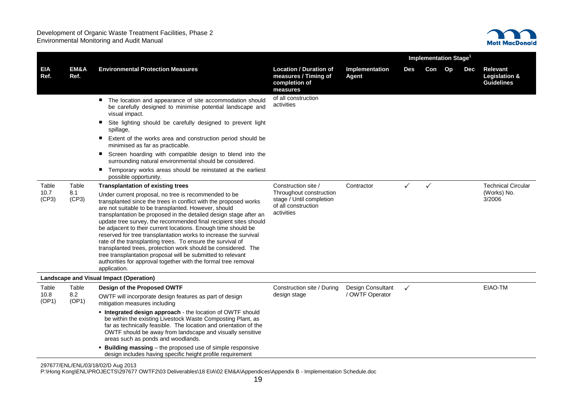

|                        |                       |                                                                                                                                                                                                                                                                                                                                                                                                                                                                                                                                                                                                                                                                                                                                                |                                                                                          |                                      |              | Implementation Stage <sup>1</sup> |    |     |                                                                  |  |
|------------------------|-----------------------|------------------------------------------------------------------------------------------------------------------------------------------------------------------------------------------------------------------------------------------------------------------------------------------------------------------------------------------------------------------------------------------------------------------------------------------------------------------------------------------------------------------------------------------------------------------------------------------------------------------------------------------------------------------------------------------------------------------------------------------------|------------------------------------------------------------------------------------------|--------------------------------------|--------------|-----------------------------------|----|-----|------------------------------------------------------------------|--|
| <b>EIA</b><br>Ref.     | EM&A<br>Ref.          | <b>Environmental Protection Measures</b>                                                                                                                                                                                                                                                                                                                                                                                                                                                                                                                                                                                                                                                                                                       | <b>Location / Duration of</b><br>measures / Timing of<br>completion of<br>measures       | Implementation<br>Agent              | <b>Des</b>   | Con                               | Op | Dec | <b>Relevant</b><br><b>Legislation &amp;</b><br><b>Guidelines</b> |  |
|                        |                       | The location and appearance of site accommodation should<br>be carefully designed to minimise potential landscape and<br>visual impact.                                                                                                                                                                                                                                                                                                                                                                                                                                                                                                                                                                                                        | of all construction<br>activities                                                        |                                      |              |                                   |    |     |                                                                  |  |
|                        |                       | ٠<br>Site lighting should be carefully designed to prevent light<br>spillage,                                                                                                                                                                                                                                                                                                                                                                                                                                                                                                                                                                                                                                                                  |                                                                                          |                                      |              |                                   |    |     |                                                                  |  |
|                        |                       | Extent of the works area and construction period should be<br>minimised as far as practicable.                                                                                                                                                                                                                                                                                                                                                                                                                                                                                                                                                                                                                                                 |                                                                                          |                                      |              |                                   |    |     |                                                                  |  |
|                        |                       | Screen hoarding with compatible design to blend into the<br>surrounding natural environmental should be considered.                                                                                                                                                                                                                                                                                                                                                                                                                                                                                                                                                                                                                            |                                                                                          |                                      |              |                                   |    |     |                                                                  |  |
|                        |                       | Temporary works areas should be reinstated at the earliest<br>ш<br>possible opportunity.                                                                                                                                                                                                                                                                                                                                                                                                                                                                                                                                                                                                                                                       |                                                                                          |                                      |              |                                   |    |     |                                                                  |  |
| Table                  | Table                 | <b>Transplantation of existing trees</b>                                                                                                                                                                                                                                                                                                                                                                                                                                                                                                                                                                                                                                                                                                       | Construction site /                                                                      | Contractor                           | $\checkmark$ | $\checkmark$                      |    |     | <b>Technical Circular</b>                                        |  |
| 10.7<br>(CP3)          | 8.1<br>(CP3)          | Under current proposal, no tree is recommended to be<br>transplanted since the trees in conflict with the proposed works<br>are not suitable to be transplanted. However, should<br>transplantation be proposed in the detailed design stage after an<br>update tree survey, the recommended final recipient sites should<br>be adjacent to their current locations. Enough time should be<br>reserved for tree transplantation works to increase the survival<br>rate of the transplanting trees. To ensure the survival of<br>transplanted trees, protection work should be considered. The<br>tree transplantation proposal will be submitted to relevant<br>authorities for approval together with the formal tree removal<br>application. | Throughout construction<br>stage / Until completion<br>of all construction<br>activities |                                      |              |                                   |    |     | (Works) No.<br>3/2006                                            |  |
|                        |                       | Landscape and Visual Impact (Operation)                                                                                                                                                                                                                                                                                                                                                                                                                                                                                                                                                                                                                                                                                                        |                                                                                          |                                      |              |                                   |    |     |                                                                  |  |
| Table<br>10.8<br>(OP1) | Table<br>8.2<br>(OP1) | Design of the Proposed OWTF<br>OWTF will incorporate design features as part of design<br>mitigation measures including                                                                                                                                                                                                                                                                                                                                                                                                                                                                                                                                                                                                                        | Construction site / During<br>design stage                                               | Design Consultant<br>/ OWTF Operator | $\checkmark$ |                                   |    |     | EIAO-TM                                                          |  |
|                        |                       | • Integrated design approach - the location of OWTF should<br>be within the existing Livestock Waste Composting Plant, as<br>far as technically feasible. The location and orientation of the<br>OWTF should be away from landscape and visually sensitive<br>areas such as ponds and woodlands.                                                                                                                                                                                                                                                                                                                                                                                                                                               |                                                                                          |                                      |              |                                   |    |     |                                                                  |  |
|                        |                       | <b>Building massing</b> – the proposed use of simple responsive<br>design includes having specific height profile requirement                                                                                                                                                                                                                                                                                                                                                                                                                                                                                                                                                                                                                  |                                                                                          |                                      |              |                                   |    |     |                                                                  |  |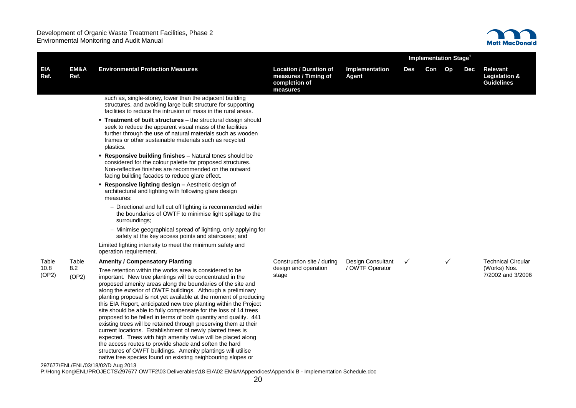

|                    |              |                                                                                                                                                                                                                                                                                                                                                                                                                                                                                                                                                                                                                                                                                                                                                                                                                                                                                                                                    |                                                                                    |                          |              | Implementation Stage <sup>1</sup> |              |     |                                                |
|--------------------|--------------|------------------------------------------------------------------------------------------------------------------------------------------------------------------------------------------------------------------------------------------------------------------------------------------------------------------------------------------------------------------------------------------------------------------------------------------------------------------------------------------------------------------------------------------------------------------------------------------------------------------------------------------------------------------------------------------------------------------------------------------------------------------------------------------------------------------------------------------------------------------------------------------------------------------------------------|------------------------------------------------------------------------------------|--------------------------|--------------|-----------------------------------|--------------|-----|------------------------------------------------|
| <b>EIA</b><br>Ref. | EM&A<br>Ref. | <b>Environmental Protection Measures</b>                                                                                                                                                                                                                                                                                                                                                                                                                                                                                                                                                                                                                                                                                                                                                                                                                                                                                           | <b>Location / Duration of</b><br>measures / Timing of<br>completion of<br>measures | Implementation<br>Agent  | Des          | Con                               | Op           | Dec | Relevant<br>Legislation &<br><b>Guidelines</b> |
|                    |              | such as, single-storey, lower than the adjacent building<br>structures, and avoiding large built structure for supporting<br>facilities to reduce the intrusion of mass in the rural areas.                                                                                                                                                                                                                                                                                                                                                                                                                                                                                                                                                                                                                                                                                                                                        |                                                                                    |                          |              |                                   |              |     |                                                |
|                    |              | . Treatment of built structures - the structural design should<br>seek to reduce the apparent visual mass of the facilities<br>further through the use of natural materials such as wooden<br>frames or other sustainable materials such as recycled<br>plastics.                                                                                                                                                                                                                                                                                                                                                                                                                                                                                                                                                                                                                                                                  |                                                                                    |                          |              |                                   |              |     |                                                |
|                    |              | • Responsive building finishes – Natural tones should be<br>considered for the colour palette for proposed structures.<br>Non-reflective finishes are recommended on the outward<br>facing building facades to reduce glare effect.                                                                                                                                                                                                                                                                                                                                                                                                                                                                                                                                                                                                                                                                                                |                                                                                    |                          |              |                                   |              |     |                                                |
|                    |              | <b>- Responsive lighting design - Aesthetic design of</b><br>architectural and lighting with following glare design<br>measures:                                                                                                                                                                                                                                                                                                                                                                                                                                                                                                                                                                                                                                                                                                                                                                                                   |                                                                                    |                          |              |                                   |              |     |                                                |
|                    |              | - Directional and full cut off lighting is recommended within<br>the boundaries of OWTF to minimise light spillage to the<br>surroundings:                                                                                                                                                                                                                                                                                                                                                                                                                                                                                                                                                                                                                                                                                                                                                                                         |                                                                                    |                          |              |                                   |              |     |                                                |
|                    |              | - Minimise geographical spread of lighting, only applying for<br>safety at the key access points and staircases; and                                                                                                                                                                                                                                                                                                                                                                                                                                                                                                                                                                                                                                                                                                                                                                                                               |                                                                                    |                          |              |                                   |              |     |                                                |
|                    |              | Limited lighting intensity to meet the minimum safety and<br>operation requirement.                                                                                                                                                                                                                                                                                                                                                                                                                                                                                                                                                                                                                                                                                                                                                                                                                                                |                                                                                    |                          |              |                                   |              |     |                                                |
| Table              | Table        | <b>Amenity / Compensatory Planting</b>                                                                                                                                                                                                                                                                                                                                                                                                                                                                                                                                                                                                                                                                                                                                                                                                                                                                                             | Construction site / during                                                         | <b>Design Consultant</b> | $\checkmark$ |                                   | $\checkmark$ |     | <b>Technical Circular</b>                      |
| 10.8<br>(OP2)      | 8.2<br>(OP2) | Tree retention within the works area is considered to be<br>important. New tree plantings will be concentrated in the<br>proposed amenity areas along the boundaries of the site and<br>along the exterior of OWTF buildings. Although a preliminary<br>planting proposal is not yet available at the moment of producing<br>this EIA Report, anticipated new tree planting within the Project<br>site should be able to fully compensate for the loss of 14 trees<br>proposed to be felled in terms of both quantity and quality. 441<br>existing trees will be retained through preserving them at their<br>current locations. Establishment of newly planted trees is<br>expected. Trees with high amenity value will be placed along<br>the access routes to provide shade and soften the hard<br>structures of OWFT buildings. Amenity plantings will utilise<br>native tree species found on existing neighbouring slopes or | design and operation<br>stage                                                      | / OWTF Operator          |              |                                   |              |     | (Works) Nos.<br>7/2002 and 3/2006              |